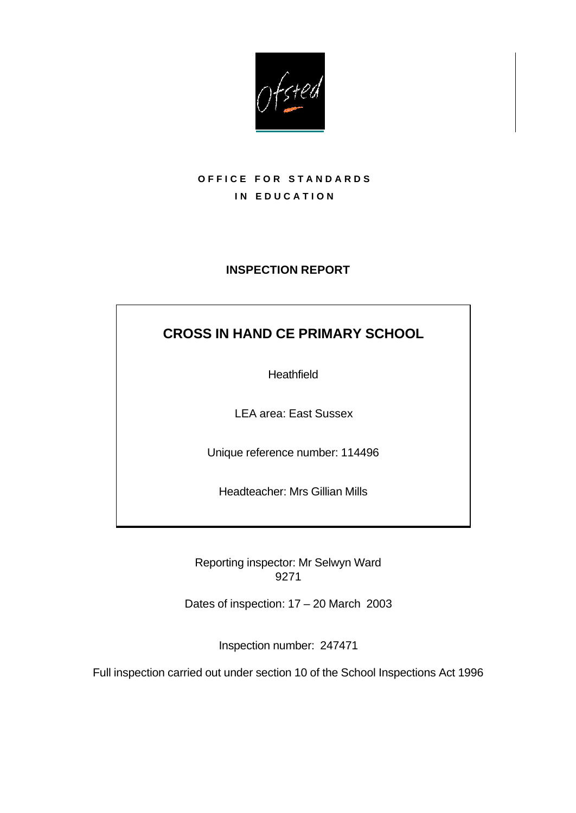

## **OFFICE FOR STANDARDS IN EDUCATION**

## **INSPECTION REPORT**

# **CROSS IN HAND CE PRIMARY SCHOOL**

**Heathfield** 

LEA area: East Sussex

Unique reference number: 114496

Headteacher: Mrs Gillian Mills

Reporting inspector: Mr Selwyn Ward 9271

Dates of inspection: 17 – 20 March 2003

Inspection number: 247471

Full inspection carried out under section 10 of the School Inspections Act 1996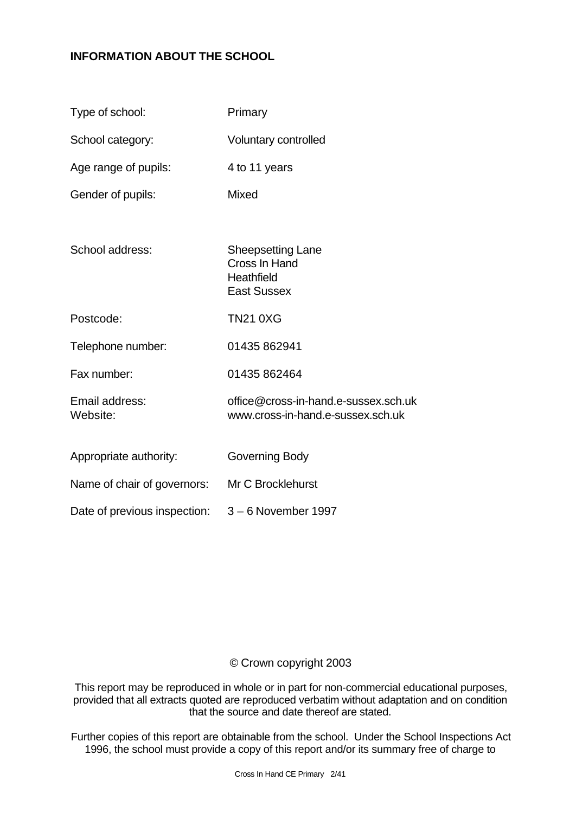## **INFORMATION ABOUT THE SCHOOL**

| Type of school:              | Primary                                                                       |
|------------------------------|-------------------------------------------------------------------------------|
| School category:             | Voluntary controlled                                                          |
| Age range of pupils:         | 4 to 11 years                                                                 |
| Gender of pupils:            | <b>Mixed</b>                                                                  |
|                              |                                                                               |
| School address:              | <b>Sheepsetting Lane</b><br>Cross In Hand<br>Heathfield<br><b>East Sussex</b> |
| Postcode:                    | <b>TN21 0XG</b>                                                               |
| Telephone number:            | 01435 862941                                                                  |
| Fax number:                  | 01435 862464                                                                  |
| Email address:<br>Website:   | office@cross-in-hand.e-sussex.sch.uk<br>www.cross-in-hand.e-sussex.sch.uk     |
| Appropriate authority:       | Governing Body                                                                |
| Name of chair of governors:  | Mr C Brocklehurst                                                             |
| Date of previous inspection: | 3 – 6 November 1997                                                           |

## © Crown copyright 2003

This report may be reproduced in whole or in part for non-commercial educational purposes, provided that all extracts quoted are reproduced verbatim without adaptation and on condition that the source and date thereof are stated.

Further copies of this report are obtainable from the school. Under the School Inspections Act 1996, the school must provide a copy of this report and/or its summary free of charge to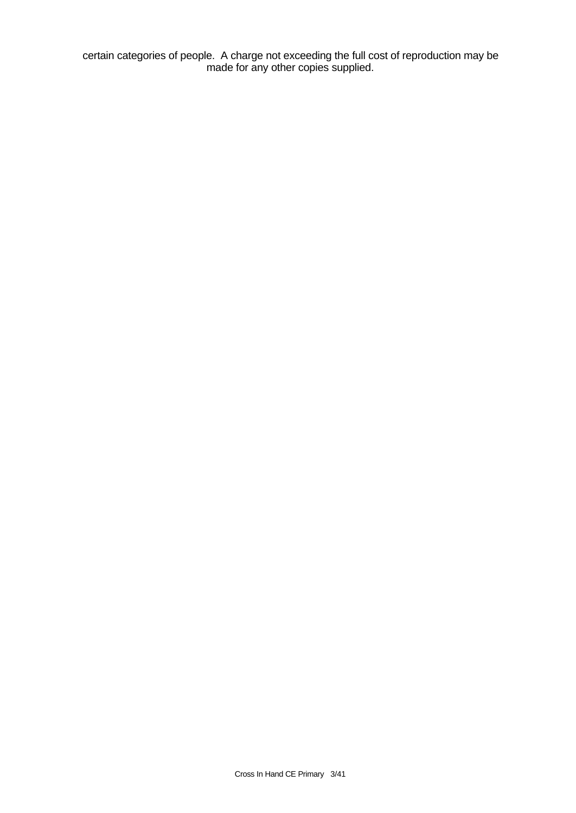certain categories of people. A charge not exceeding the full cost of reproduction may be made for any other copies supplied.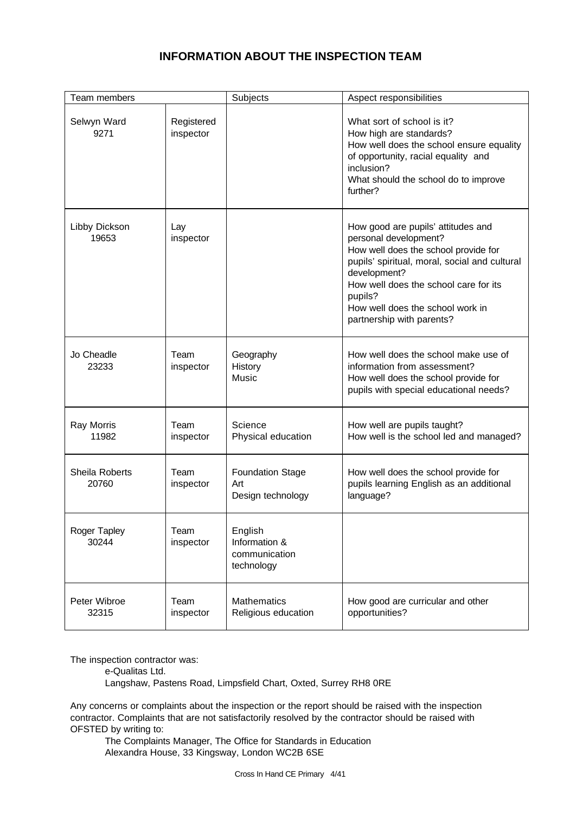## **INFORMATION ABOUT THE INSPECTION TEAM**

| Team members            |                         | Subjects                                                | Aspect responsibilities                                                                                                                                                                                                                                                                   |
|-------------------------|-------------------------|---------------------------------------------------------|-------------------------------------------------------------------------------------------------------------------------------------------------------------------------------------------------------------------------------------------------------------------------------------------|
| Selwyn Ward<br>9271     | Registered<br>inspector |                                                         | What sort of school is it?<br>How high are standards?<br>How well does the school ensure equality<br>of opportunity, racial equality and<br>inclusion?<br>What should the school do to improve<br>further?                                                                                |
| Libby Dickson<br>19653  | Lay<br>inspector        |                                                         | How good are pupils' attitudes and<br>personal development?<br>How well does the school provide for<br>pupils' spiritual, moral, social and cultural<br>development?<br>How well does the school care for its<br>pupils?<br>How well does the school work in<br>partnership with parents? |
| Jo Cheadle<br>23233     | Team<br>inspector       | Geography<br>History<br>Music                           | How well does the school make use of<br>information from assessment?<br>How well does the school provide for<br>pupils with special educational needs?                                                                                                                                    |
| Ray Morris<br>11982     | Team<br>inspector       | Science<br>Physical education                           | How well are pupils taught?<br>How well is the school led and managed?                                                                                                                                                                                                                    |
| Sheila Roberts<br>20760 | Team<br>inspector       | <b>Foundation Stage</b><br>Art<br>Design technology     | How well does the school provide for<br>pupils learning English as an additional<br>language?                                                                                                                                                                                             |
| Roger Tapley<br>30244   | Team<br>inspector       | English<br>Information &<br>communication<br>technology |                                                                                                                                                                                                                                                                                           |
| Peter Wibroe<br>32315   | Team<br>inspector       | <b>Mathematics</b><br>Religious education               | How good are curricular and other<br>opportunities?                                                                                                                                                                                                                                       |

The inspection contractor was:

e-Qualitas Ltd.

Langshaw, Pastens Road, Limpsfield Chart, Oxted, Surrey RH8 0RE

Any concerns or complaints about the inspection or the report should be raised with the inspection contractor. Complaints that are not satisfactorily resolved by the contractor should be raised with OFSTED by writing to:

The Complaints Manager, The Office for Standards in Education Alexandra House, 33 Kingsway, London WC2B 6SE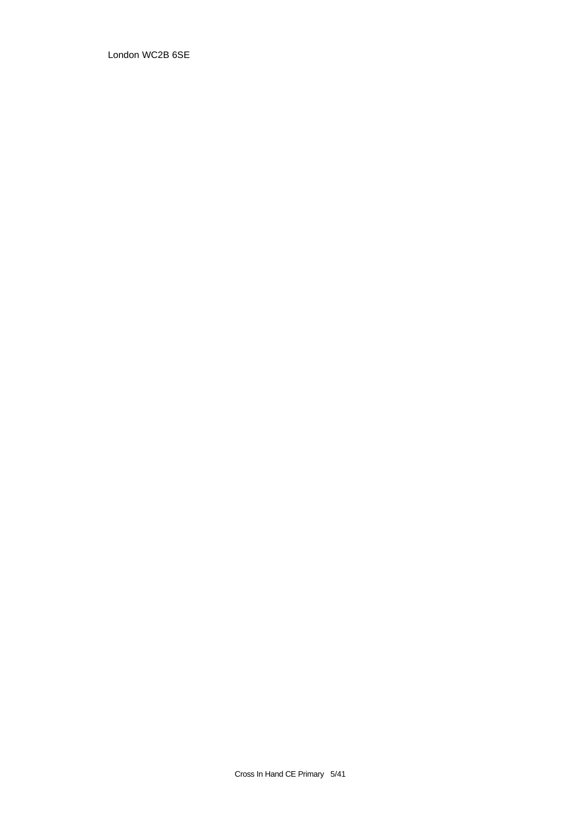London WC2B 6SE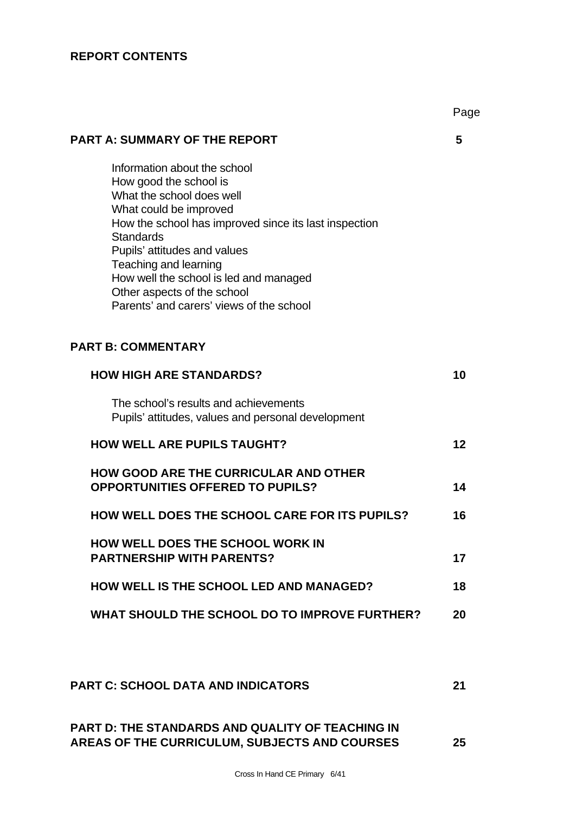## **REPORT CONTENTS**

|                                                                                                                                                                                                                                                                                                                                                                          | Page |
|--------------------------------------------------------------------------------------------------------------------------------------------------------------------------------------------------------------------------------------------------------------------------------------------------------------------------------------------------------------------------|------|
| <b>PART A: SUMMARY OF THE REPORT</b>                                                                                                                                                                                                                                                                                                                                     | 5    |
| Information about the school<br>How good the school is<br>What the school does well<br>What could be improved<br>How the school has improved since its last inspection<br><b>Standards</b><br>Pupils' attitudes and values<br>Teaching and learning<br>How well the school is led and managed<br>Other aspects of the school<br>Parents' and carers' views of the school |      |
| <b>PART B: COMMENTARY</b>                                                                                                                                                                                                                                                                                                                                                |      |
| <b>HOW HIGH ARE STANDARDS?</b>                                                                                                                                                                                                                                                                                                                                           | 10   |
| The school's results and achievements<br>Pupils' attitudes, values and personal development                                                                                                                                                                                                                                                                              |      |
| <b>HOW WELL ARE PUPILS TAUGHT?</b>                                                                                                                                                                                                                                                                                                                                       | 12   |
| <b>HOW GOOD ARE THE CURRICULAR AND OTHER</b><br><b>OPPORTUNITIES OFFERED TO PUPILS?</b>                                                                                                                                                                                                                                                                                  | 14   |
| <b>HOW WELL DOES THE SCHOOL CARE FOR ITS PUPILS?</b>                                                                                                                                                                                                                                                                                                                     | 16   |
| <b>HOW WELL DOES THE SCHOOL WORK IN</b><br><b>PARTNERSHIP WITH PARENTS?</b>                                                                                                                                                                                                                                                                                              | 17   |
| <b>HOW WELL IS THE SCHOOL LED AND MANAGED?</b>                                                                                                                                                                                                                                                                                                                           | 18   |
| WHAT SHOULD THE SCHOOL DO TO IMPROVE FURTHER?                                                                                                                                                                                                                                                                                                                            | 20   |
| <b>PART C: SCHOOL DATA AND INDICATORS</b>                                                                                                                                                                                                                                                                                                                                | 21   |

## **PART D: THE STANDARDS AND QUALITY OF TEACHING IN AREAS OF THE CURRICULUM, SUBJECTS AND COURSES 25**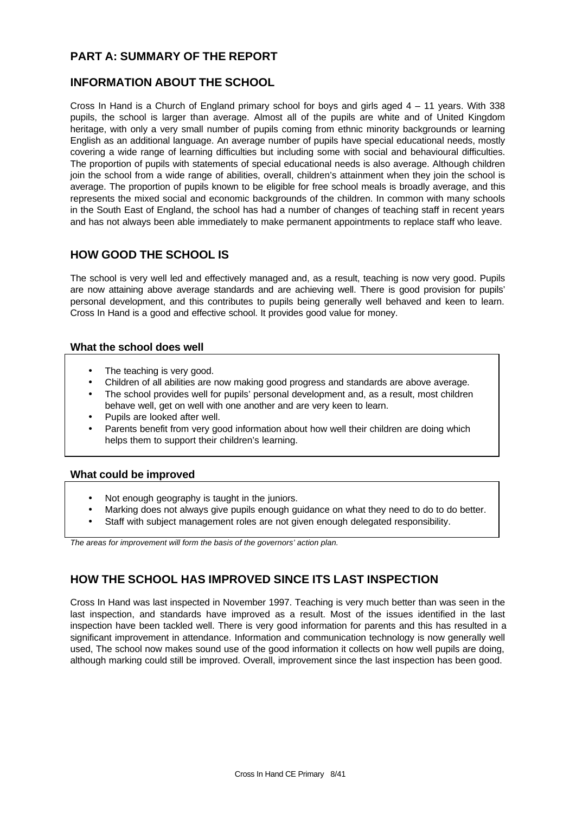## **PART A: SUMMARY OF THE REPORT**

## **INFORMATION ABOUT THE SCHOOL**

Cross In Hand is a Church of England primary school for boys and girls aged 4 – 11 years. With 338 pupils, the school is larger than average. Almost all of the pupils are white and of United Kingdom heritage, with only a very small number of pupils coming from ethnic minority backgrounds or learning English as an additional language. An average number of pupils have special educational needs, mostly covering a wide range of learning difficulties but including some with social and behavioural difficulties. The proportion of pupils with statements of special educational needs is also average. Although children join the school from a wide range of abilities, overall, children's attainment when they join the school is average. The proportion of pupils known to be eligible for free school meals is broadly average, and this represents the mixed social and economic backgrounds of the children. In common with many schools in the South East of England, the school has had a number of changes of teaching staff in recent years and has not always been able immediately to make permanent appointments to replace staff who leave.

## **HOW GOOD THE SCHOOL IS**

The school is very well led and effectively managed and, as a result, teaching is now very good. Pupils are now attaining above average standards and are achieving well. There is good provision for pupils' personal development, and this contributes to pupils being generally well behaved and keen to learn. Cross In Hand is a good and effective school. It provides good value for money.

### **What the school does well**

- The teaching is very good.
- Children of all abilities are now making good progress and standards are above average.
- The school provides well for pupils' personal development and, as a result, most children behave well, get on well with one another and are very keen to learn.
- Pupils are looked after well.
- Parents benefit from very good information about how well their children are doing which helps them to support their children's learning.

### **What could be improved**

- Not enough geography is taught in the juniors.
- Marking does not always give pupils enough guidance on what they need to do to do better.
- Staff with subject management roles are not given enough delegated responsibility.

*The areas for improvement will form the basis of the governors' action plan.*

## **HOW THE SCHOOL HAS IMPROVED SINCE ITS LAST INSPECTION**

Cross In Hand was last inspected in November 1997. Teaching is very much better than was seen in the last inspection, and standards have improved as a result. Most of the issues identified in the last inspection have been tackled well. There is very good information for parents and this has resulted in a significant improvement in attendance. Information and communication technology is now generally well used, The school now makes sound use of the good information it collects on how well pupils are doing, although marking could still be improved. Overall, improvement since the last inspection has been good.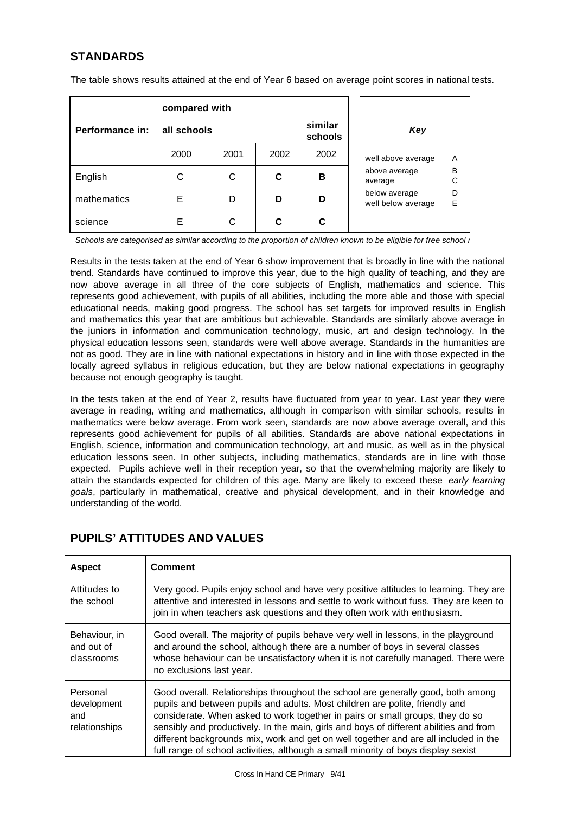## **STANDARDS**

The table shows results attained at the end of Year 6 based on average point scores in national tests.

| compared with   |             |      |      |                    |                                               |
|-----------------|-------------|------|------|--------------------|-----------------------------------------------|
| Performance in: | all schools |      |      | similar<br>schools | Key                                           |
|                 | 2000        | 2001 | 2002 | 2002               | well above average<br>A                       |
| English         | С           | C    | C    | в                  | B<br>above average<br>C<br>average            |
| mathematics     | Ε           | D    | D    | D                  | D<br>below average<br>E<br>well below average |
| science         | F           |      | C    | C                  |                                               |

*Schools are categorised as similar according to the proportion of children known to be eligible for free school i* 

Results in the tests taken at the end of Year 6 show improvement that is broadly in line with the national trend. Standards have continued to improve this year, due to the high quality of teaching, and they are now above average in all three of the core subjects of English, mathematics and science. This represents good achievement, with pupils of all abilities, including the more able and those with special educational needs, making good progress. The school has set targets for improved results in English and mathematics this year that are ambitious but achievable. Standards are similarly above average in the juniors in information and communication technology, music, art and design technology. In the physical education lessons seen, standards were well above average. Standards in the humanities are not as good. They are in line with national expectations in history and in line with those expected in the locally agreed syllabus in religious education, but they are below national expectations in geography because not enough geography is taught.

In the tests taken at the end of Year 2, results have fluctuated from year to year. Last year they were average in reading, writing and mathematics, although in comparison with similar schools, results in mathematics were below average. From work seen, standards are now above average overall, and this represents good achievement for pupils of all abilities. Standards are above national expectations in English, science, information and communication technology, art and music, as well as in the physical education lessons seen. In other subjects, including mathematics, standards are in line with those expected. Pupils achieve well in their reception year, so that the overwhelming majority are likely to attain the standards expected for children of this age. Many are likely to exceed these *early learning goals*, particularly in mathematical, creative and physical development, and in their knowledge and understanding of the world.

| <b>Aspect</b>                                   | <b>Comment</b>                                                                                                                                                                                                                                                                                                                                                                                                                                                                                                           |
|-------------------------------------------------|--------------------------------------------------------------------------------------------------------------------------------------------------------------------------------------------------------------------------------------------------------------------------------------------------------------------------------------------------------------------------------------------------------------------------------------------------------------------------------------------------------------------------|
| Attitudes to<br>the school                      | Very good. Pupils enjoy school and have very positive attitudes to learning. They are<br>attentive and interested in lessons and settle to work without fuss. They are keen to<br>join in when teachers ask questions and they often work with enthusiasm.                                                                                                                                                                                                                                                               |
| Behaviour, in<br>and out of<br>classrooms       | Good overall. The majority of pupils behave very well in lessons, in the playground<br>and around the school, although there are a number of boys in several classes<br>whose behaviour can be unsatisfactory when it is not carefully managed. There were<br>no exclusions last year.                                                                                                                                                                                                                                   |
| Personal<br>development<br>and<br>relationships | Good overall. Relationships throughout the school are generally good, both among<br>pupils and between pupils and adults. Most children are polite, friendly and<br>considerate. When asked to work together in pairs or small groups, they do so<br>sensibly and productively. In the main, girls and boys of different abilities and from<br>different backgrounds mix, work and get on well together and are all included in the<br>full range of school activities, although a small minority of boys display sexist |

## **PUPILS' ATTITUDES AND VALUES**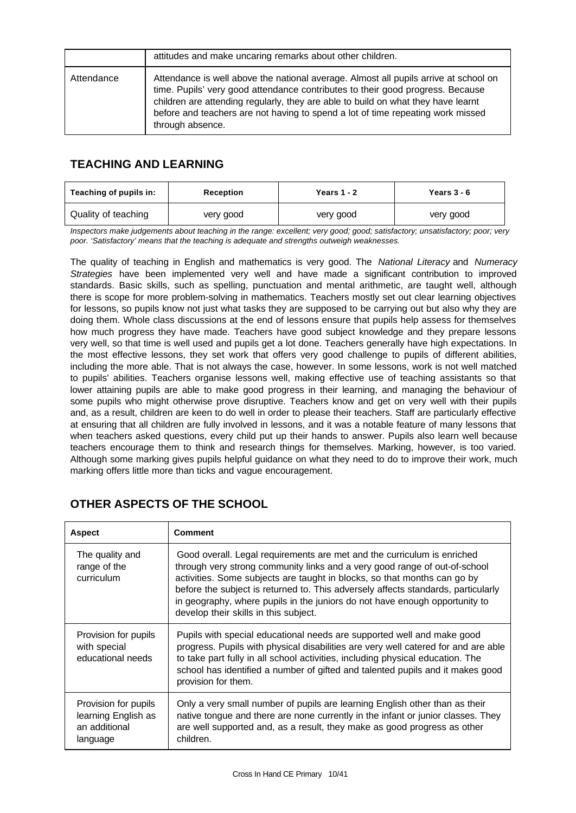|            | attitudes and make uncaring remarks about other children.                                                                                                                                                                                                                                                                                                          |
|------------|--------------------------------------------------------------------------------------------------------------------------------------------------------------------------------------------------------------------------------------------------------------------------------------------------------------------------------------------------------------------|
| Attendance | Attendance is well above the national average. Almost all pupils arrive at school on<br>time. Pupils' very good attendance contributes to their good progress. Because<br>children are attending regularly, they are able to build on what they have learnt<br>before and teachers are not having to spend a lot of time repeating work missed<br>through absence. |

## **TEACHING AND LEARNING**

| Teaching of pupils in: | Reception | Years $1 - 2$ | Years $3 - 6$ |
|------------------------|-----------|---------------|---------------|
| Quality of teaching    | very good | very good     | very good     |

*Inspectors make judgements about teaching in the range: excellent; very good; good; satisfactory; unsatisfactory; poor; very poor. 'Satisfactory' means that the teaching is adequate and strengths outweigh weaknesses.*

The quality of teaching in English and mathematics is very good. The *National Literacy* and *Numeracy Strategies* have been implemented very well and have made a significant contribution to improved standards. Basic skills, such as spelling, punctuation and mental arithmetic, are taught well, although there is scope for more problem-solving in mathematics. Teachers mostly set out clear learning objectives for lessons, so pupils know not just what tasks they are supposed to be carrying out but also why they are doing them. Whole class discussions at the end of lessons ensure that pupils help assess for themselves how much progress they have made. Teachers have good subject knowledge and they prepare lessons very well, so that time is well used and pupils get a lot done. Teachers generally have high expectations. In the most effective lessons, they set work that offers very good challenge to pupils of different abilities, including the more able. That is not always the case, however. In some lessons, work is not well matched to pupils' abilities. Teachers organise lessons well, making effective use of teaching assistants so that lower attaining pupils are able to make good progress in their learning, and managing the behaviour of some pupils who might otherwise prove disruptive. Teachers know and get on very well with their pupils and, as a result, children are keen to do well in order to please their teachers. Staff are particularly effective at ensuring that all children are fully involved in lessons, and it was a notable feature of many lessons that when teachers asked questions, every child put up their hands to answer. Pupils also learn well because teachers encourage them to think and research things for themselves. Marking, however, is too varied. Although some marking gives pupils helpful guidance on what they need to do to improve their work, much marking offers little more than ticks and vague encouragement.

| <b>Aspect</b>                                                            | <b>Comment</b>                                                                                                                                                                                                                                                                                                                                                                                                                                 |
|--------------------------------------------------------------------------|------------------------------------------------------------------------------------------------------------------------------------------------------------------------------------------------------------------------------------------------------------------------------------------------------------------------------------------------------------------------------------------------------------------------------------------------|
| The quality and<br>range of the<br>curriculum                            | Good overall. Legal requirements are met and the curriculum is enriched<br>through very strong community links and a very good range of out-of-school<br>activities. Some subjects are taught in blocks, so that months can go by<br>before the subject is returned to. This adversely affects standards, particularly<br>in geography, where pupils in the juniors do not have enough opportunity to<br>develop their skills in this subject. |
| Provision for pupils<br>with special<br>educational needs                | Pupils with special educational needs are supported well and make good<br>progress. Pupils with physical disabilities are very well catered for and are able<br>to take part fully in all school activities, including physical education. The<br>school has identified a number of gifted and talented pupils and it makes good<br>provision for them.                                                                                        |
| Provision for pupils<br>learning English as<br>an additional<br>language | Only a very small number of pupils are learning English other than as their<br>native tongue and there are none currently in the infant or junior classes. They<br>are well supported and, as a result, they make as good progress as other<br>children.                                                                                                                                                                                       |

## **OTHER ASPECTS OF THE SCHOOL**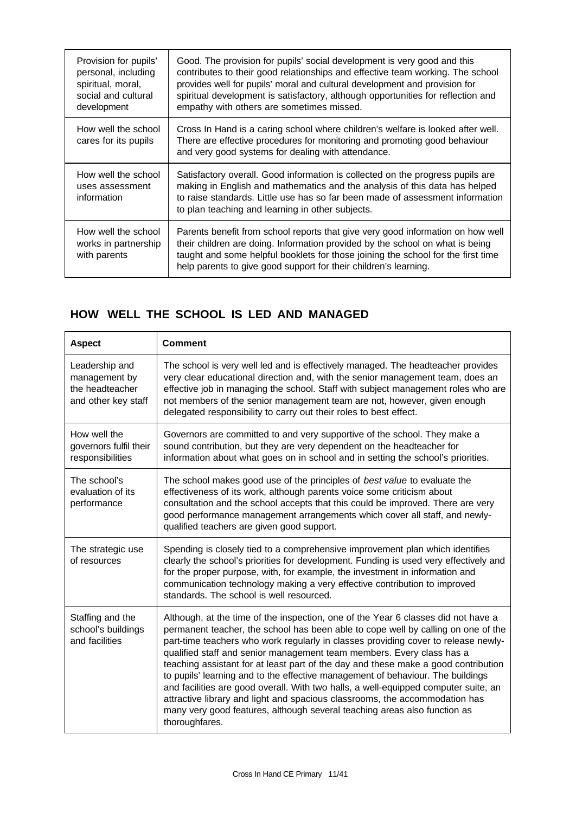| Provision for pupils'<br>personal, including<br>spiritual, moral,<br>social and cultural<br>development | Good. The provision for pupils' social development is very good and this<br>contributes to their good relationships and effective team working. The school<br>provides well for pupils' moral and cultural development and provision for<br>spiritual development is satisfactory, although opportunities for reflection and<br>empathy with others are sometimes missed. |
|---------------------------------------------------------------------------------------------------------|---------------------------------------------------------------------------------------------------------------------------------------------------------------------------------------------------------------------------------------------------------------------------------------------------------------------------------------------------------------------------|
| How well the school<br>cares for its pupils                                                             | Cross In Hand is a caring school where children's welfare is looked after well.<br>There are effective procedures for monitoring and promoting good behaviour<br>and very good systems for dealing with attendance.                                                                                                                                                       |
| How well the school<br>uses assessment<br>information                                                   | Satisfactory overall. Good information is collected on the progress pupils are<br>making in English and mathematics and the analysis of this data has helped<br>to raise standards. Little use has so far been made of assessment information<br>to plan teaching and learning in other subjects.                                                                         |
| How well the school<br>works in partnership<br>with parents                                             | Parents benefit from school reports that give very good information on how well<br>their children are doing. Information provided by the school on what is being<br>taught and some helpful booklets for those joining the school for the first time<br>help parents to give good support for their children's learning.                                                  |

## **HOW WELL THE SCHOOL IS LED AND MANAGED**

| <b>Aspect</b>                                                             | <b>Comment</b>                                                                                                                                                                                                                                                                                                                                                                                                                                                                                                                                                                                                                                                                                                                                                                      |
|---------------------------------------------------------------------------|-------------------------------------------------------------------------------------------------------------------------------------------------------------------------------------------------------------------------------------------------------------------------------------------------------------------------------------------------------------------------------------------------------------------------------------------------------------------------------------------------------------------------------------------------------------------------------------------------------------------------------------------------------------------------------------------------------------------------------------------------------------------------------------|
| Leadership and<br>management by<br>the headteacher<br>and other key staff | The school is very well led and is effectively managed. The headteacher provides<br>very clear educational direction and, with the senior management team, does an<br>effective job in managing the school. Staff with subject management roles who are<br>not members of the senior management team are not, however, given enough<br>delegated responsibility to carry out their roles to best effect.                                                                                                                                                                                                                                                                                                                                                                            |
| How well the<br>governors fulfil their<br>responsibilities                | Governors are committed to and very supportive of the school. They make a<br>sound contribution, but they are very dependent on the headteacher for<br>information about what goes on in school and in setting the school's priorities.                                                                                                                                                                                                                                                                                                                                                                                                                                                                                                                                             |
| The school's<br>evaluation of its<br>performance                          | The school makes good use of the principles of best value to evaluate the<br>effectiveness of its work, although parents voice some criticism about<br>consultation and the school accepts that this could be improved. There are very<br>good performance management arrangements which cover all staff, and newly-<br>qualified teachers are given good support.                                                                                                                                                                                                                                                                                                                                                                                                                  |
| The strategic use<br>of resources                                         | Spending is closely tied to a comprehensive improvement plan which identifies<br>clearly the school's priorities for development. Funding is used very effectively and<br>for the proper purpose, with, for example, the investment in information and<br>communication technology making a very effective contribution to improved<br>standards. The school is well resourced.                                                                                                                                                                                                                                                                                                                                                                                                     |
| Staffing and the<br>school's buildings<br>and facilities                  | Although, at the time of the inspection, one of the Year 6 classes did not have a<br>permanent teacher, the school has been able to cope well by calling on one of the<br>part-time teachers who work regularly in classes providing cover to release newly-<br>qualified staff and senior management team members. Every class has a<br>teaching assistant for at least part of the day and these make a good contribution<br>to pupils' learning and to the effective management of behaviour. The buildings<br>and facilities are good overall. With two halls, a well-equipped computer suite, an<br>attractive library and light and spacious classrooms, the accommodation has<br>many very good features, although several teaching areas also function as<br>thoroughfares. |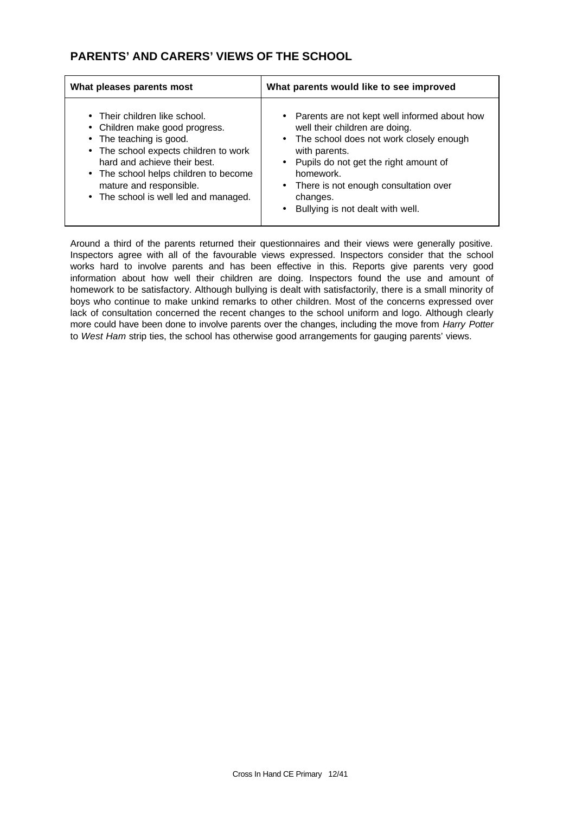## **PARENTS' AND CARERS' VIEWS OF THE SCHOOL**

| What pleases parents most                                                                                                                                                                                                                                                        | What parents would like to see improved                                                                                                                                                                                                                                                                        |  |
|----------------------------------------------------------------------------------------------------------------------------------------------------------------------------------------------------------------------------------------------------------------------------------|----------------------------------------------------------------------------------------------------------------------------------------------------------------------------------------------------------------------------------------------------------------------------------------------------------------|--|
| • Their children like school.<br>• Children make good progress.<br>• The teaching is good.<br>• The school expects children to work<br>hard and achieve their best.<br>• The school helps children to become<br>mature and responsible.<br>• The school is well led and managed. | • Parents are not kept well informed about how<br>well their children are doing.<br>• The school does not work closely enough<br>with parents.<br>• Pupils do not get the right amount of<br>homework.<br>• There is not enough consultation over<br>changes.<br>Bullying is not dealt with well.<br>$\bullet$ |  |

Around a third of the parents returned their questionnaires and their views were generally positive. Inspectors agree with all of the favourable views expressed. Inspectors consider that the school works hard to involve parents and has been effective in this. Reports give parents very good information about how well their children are doing. Inspectors found the use and amount of homework to be satisfactory. Although bullying is dealt with satisfactorily, there is a small minority of boys who continue to make unkind remarks to other children. Most of the concerns expressed over lack of consultation concerned the recent changes to the school uniform and logo. Although clearly more could have been done to involve parents over the changes, including the move from *Harry Potter* to *West Ham* strip ties, the school has otherwise good arrangements for gauging parents' views.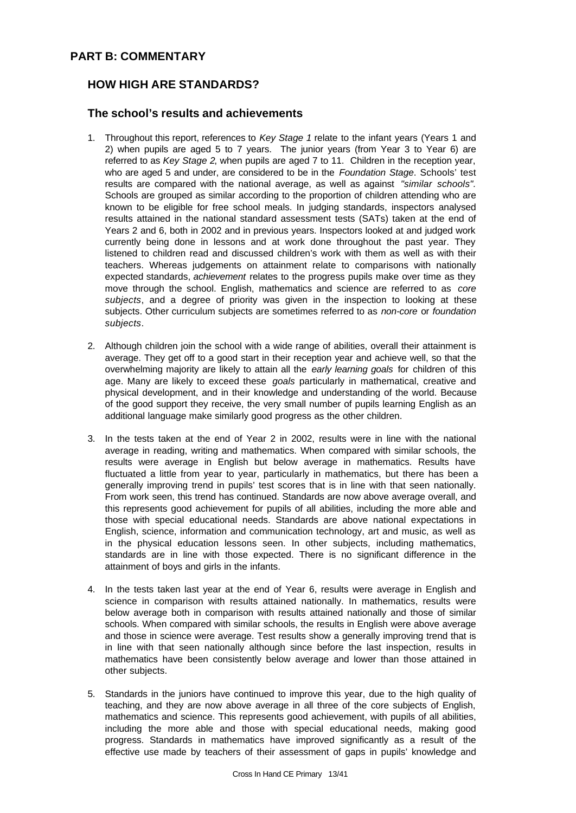## **PART B: COMMENTARY**

## **HOW HIGH ARE STANDARDS?**

### **The school's results and achievements**

- 1. Throughout this report, references to *Key Stage 1* relate to the infant years (Years 1 and 2) when pupils are aged 5 to 7 years. The junior years (from Year 3 to Year 6) are referred to as *Key Stage 2*, when pupils are aged 7 to 11. Children in the reception year, who are aged 5 and under, are considered to be in the *Foundation Stage*. Schools' test results are compared with the national average, as well as against *"similar schools".* Schools are grouped as similar according to the proportion of children attending who are known to be eligible for free school meals. In judging standards, inspectors analysed results attained in the national standard assessment tests (SATs) taken at the end of Years 2 and 6, both in 2002 and in previous years. Inspectors looked at and judged work currently being done in lessons and at work done throughout the past year. They listened to children read and discussed children's work with them as well as with their teachers. Whereas judgements on attainment relate to comparisons with nationally expected standards, *achievement* relates to the progress pupils make over time as they move through the school. English, mathematics and science are referred to as *core subjects*, and a degree of priority was given in the inspection to looking at these subjects. Other curriculum subjects are sometimes referred to as *non-core* or *foundation subjects*.
- 2. Although children join the school with a wide range of abilities, overall their attainment is average. They get off to a good start in their reception year and achieve well, so that the overwhelming majority are likely to attain all the *early learning goals* for children of this age. Many are likely to exceed these *goals* particularly in mathematical, creative and physical development, and in their knowledge and understanding of the world. Because of the good support they receive, the very small number of pupils learning English as an additional language make similarly good progress as the other children.
- 3. In the tests taken at the end of Year 2 in 2002, results were in line with the national average in reading, writing and mathematics. When compared with similar schools, the results were average in English but below average in mathematics. Results have fluctuated a little from year to year, particularly in mathematics, but there has been a generally improving trend in pupils' test scores that is in line with that seen nationally. From work seen, this trend has continued. Standards are now above average overall, and this represents good achievement for pupils of all abilities, including the more able and those with special educational needs. Standards are above national expectations in English, science, information and communication technology, art and music, as well as in the physical education lessons seen. In other subjects, including mathematics, standards are in line with those expected. There is no significant difference in the attainment of boys and girls in the infants.
- 4. In the tests taken last year at the end of Year 6, results were average in English and science in comparison with results attained nationally. In mathematics, results were below average both in comparison with results attained nationally and those of similar schools. When compared with similar schools, the results in English were above average and those in science were average. Test results show a generally improving trend that is in line with that seen nationally although since before the last inspection, results in mathematics have been consistently below average and lower than those attained in other subjects.
- 5. Standards in the juniors have continued to improve this year, due to the high quality of teaching, and they are now above average in all three of the core subjects of English, mathematics and science. This represents good achievement, with pupils of all abilities, including the more able and those with special educational needs, making good progress. Standards in mathematics have improved significantly as a result of the effective use made by teachers of their assessment of gaps in pupils' knowledge and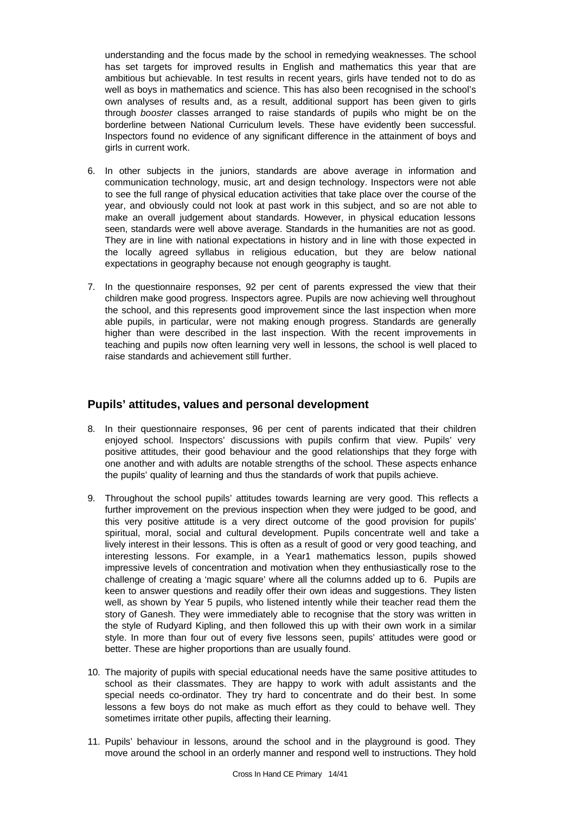understanding and the focus made by the school in remedying weaknesses. The school has set targets for improved results in English and mathematics this year that are ambitious but achievable. In test results in recent years, girls have tended not to do as well as boys in mathematics and science. This has also been recognised in the school's own analyses of results and, as a result, additional support has been given to girls through *booster* classes arranged to raise standards of pupils who might be on the borderline between National Curriculum levels. These have evidently been successful. Inspectors found no evidence of any significant difference in the attainment of boys and girls in current work.

- 6. In other subjects in the juniors, standards are above average in information and communication technology, music, art and design technology. Inspectors were not able to see the full range of physical education activities that take place over the course of the year, and obviously could not look at past work in this subject, and so are not able to make an overall judgement about standards. However, in physical education lessons seen, standards were well above average. Standards in the humanities are not as good. They are in line with national expectations in history and in line with those expected in the locally agreed syllabus in religious education, but they are below national expectations in geography because not enough geography is taught.
- 7. In the questionnaire responses, 92 per cent of parents expressed the view that their children make good progress. Inspectors agree. Pupils are now achieving well throughout the school, and this represents good improvement since the last inspection when more able pupils, in particular, were not making enough progress. Standards are generally higher than were described in the last inspection. With the recent improvements in teaching and pupils now often learning very well in lessons, the school is well placed to raise standards and achievement still further.

### **Pupils' attitudes, values and personal development**

- 8. In their questionnaire responses, 96 per cent of parents indicated that their children enjoyed school. Inspectors' discussions with pupils confirm that view. Pupils' very positive attitudes, their good behaviour and the good relationships that they forge with one another and with adults are notable strengths of the school. These aspects enhance the pupils' quality of learning and thus the standards of work that pupils achieve.
- 9. Throughout the school pupils' attitudes towards learning are very good. This reflects a further improvement on the previous inspection when they were judged to be good, and this very positive attitude is a very direct outcome of the good provision for pupils' spiritual, moral, social and cultural development. Pupils concentrate well and take a lively interest in their lessons. This is often as a result of good or very good teaching, and interesting lessons. For example, in a Year1 mathematics lesson, pupils showed impressive levels of concentration and motivation when they enthusiastically rose to the challenge of creating a 'magic square' where all the columns added up to 6. Pupils are keen to answer questions and readily offer their own ideas and suggestions. They listen well, as shown by Year 5 pupils, who listened intently while their teacher read them the story of Ganesh. They were immediately able to recognise that the story was written in the style of Rudyard Kipling, and then followed this up with their own work in a similar style. In more than four out of every five lessons seen, pupils' attitudes were good or better. These are higher proportions than are usually found.
- 10. The majority of pupils with special educational needs have the same positive attitudes to school as their classmates. They are happy to work with adult assistants and the special needs co-ordinator. They try hard to concentrate and do their best. In some lessons a few boys do not make as much effort as they could to behave well. They sometimes irritate other pupils, affecting their learning.
- 11. Pupils' behaviour in lessons, around the school and in the playground is good. They move around the school in an orderly manner and respond well to instructions. They hold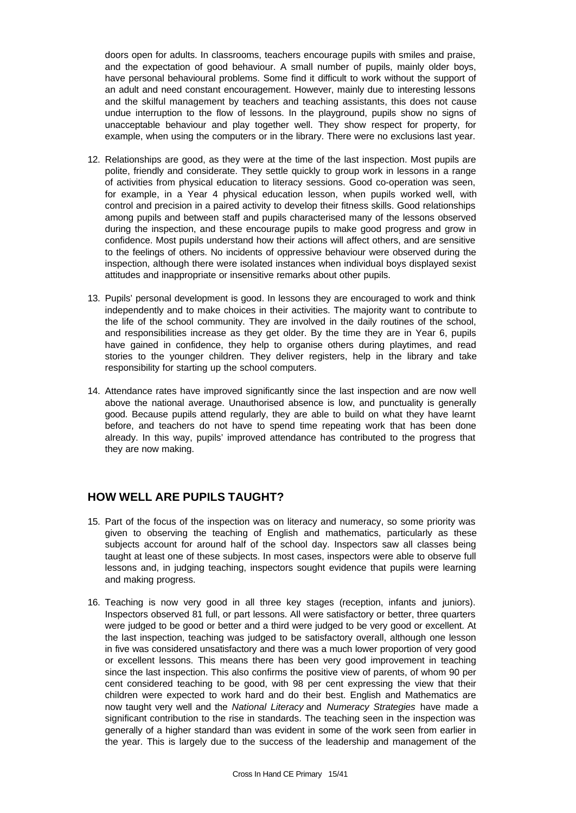doors open for adults. In classrooms, teachers encourage pupils with smiles and praise, and the expectation of good behaviour. A small number of pupils, mainly older boys, have personal behavioural problems. Some find it difficult to work without the support of an adult and need constant encouragement. However, mainly due to interesting lessons and the skilful management by teachers and teaching assistants, this does not cause undue interruption to the flow of lessons. In the playground, pupils show no signs of unacceptable behaviour and play together well. They show respect for property, for example, when using the computers or in the library. There were no exclusions last year.

- 12. Relationships are good, as they were at the time of the last inspection. Most pupils are polite, friendly and considerate. They settle quickly to group work in lessons in a range of activities from physical education to literacy sessions. Good co-operation was seen, for example, in a Year 4 physical education lesson, when pupils worked well, with control and precision in a paired activity to develop their fitness skills. Good relationships among pupils and between staff and pupils characterised many of the lessons observed during the inspection, and these encourage pupils to make good progress and grow in confidence. Most pupils understand how their actions will affect others, and are sensitive to the feelings of others. No incidents of oppressive behaviour were observed during the inspection, although there were isolated instances when individual boys displayed sexist attitudes and inappropriate or insensitive remarks about other pupils.
- 13. Pupils' personal development is good. In lessons they are encouraged to work and think independently and to make choices in their activities. The majority want to contribute to the life of the school community. They are involved in the daily routines of the school, and responsibilities increase as they get older. By the time they are in Year 6, pupils have gained in confidence, they help to organise others during playtimes, and read stories to the younger children. They deliver registers, help in the library and take responsibility for starting up the school computers.
- 14. Attendance rates have improved significantly since the last inspection and are now well above the national average. Unauthorised absence is low, and punctuality is generally good. Because pupils attend regularly, they are able to build on what they have learnt before, and teachers do not have to spend time repeating work that has been done already. In this way, pupils' improved attendance has contributed to the progress that they are now making.

### **HOW WELL ARE PUPILS TAUGHT?**

- 15. Part of the focus of the inspection was on literacy and numeracy, so some priority was given to observing the teaching of English and mathematics, particularly as these subjects account for around half of the school day. Inspectors saw all classes being taught at least one of these subjects. In most cases, inspectors were able to observe full lessons and, in judging teaching, inspectors sought evidence that pupils were learning and making progress.
- 16. Teaching is now very good in all three key stages (reception, infants and juniors). Inspectors observed 81 full, or part lessons. All were satisfactory or better, three quarters were judged to be good or better and a third were judged to be very good or excellent. At the last inspection, teaching was judged to be satisfactory overall, although one lesson in five was considered unsatisfactory and there was a much lower proportion of very good or excellent lessons. This means there has been very good improvement in teaching since the last inspection. This also confirms the positive view of parents, of whom 90 per cent considered teaching to be good, with 98 per cent expressing the view that their children were expected to work hard and do their best. English and Mathematics are now taught very well and the *National Literacy* and *Numeracy Strategies* have made a significant contribution to the rise in standards. The teaching seen in the inspection was generally of a higher standard than was evident in some of the work seen from earlier in the year. This is largely due to the success of the leadership and management of the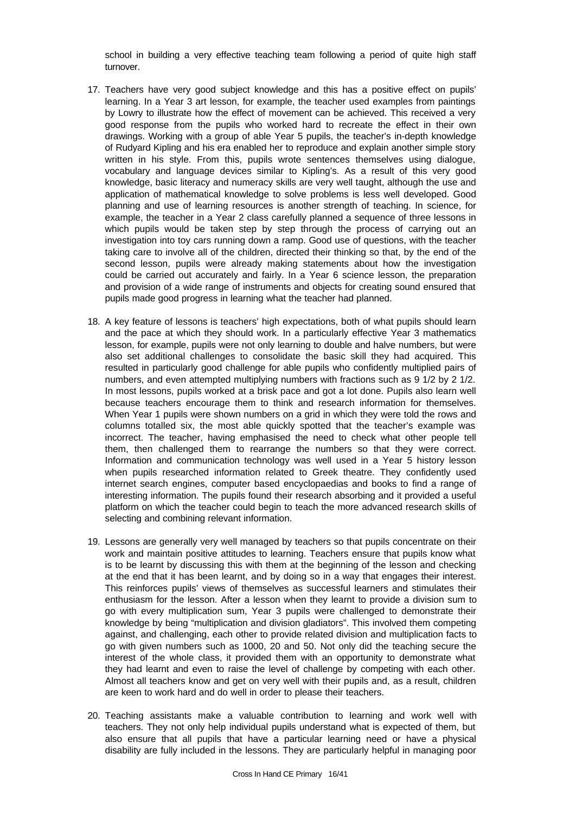school in building a very effective teaching team following a period of quite high staff turnover.

- 17. Teachers have very good subject knowledge and this has a positive effect on pupils' learning. In a Year 3 art lesson, for example, the teacher used examples from paintings by Lowry to illustrate how the effect of movement can be achieved. This received a very good response from the pupils who worked hard to recreate the effect in their own drawings. Working with a group of able Year 5 pupils, the teacher's in-depth knowledge of Rudyard Kipling and his era enabled her to reproduce and explain another simple story written in his style. From this, pupils wrote sentences themselves using dialogue, vocabulary and language devices similar to Kipling's. As a result of this very good knowledge, basic literacy and numeracy skills are very well taught, although the use and application of mathematical knowledge to solve problems is less well developed. Good planning and use of learning resources is another strength of teaching. In science, for example, the teacher in a Year 2 class carefully planned a sequence of three lessons in which pupils would be taken step by step through the process of carrying out an investigation into toy cars running down a ramp. Good use of questions, with the teacher taking care to involve all of the children, directed their thinking so that, by the end of the second lesson, pupils were already making statements about how the investigation could be carried out accurately and fairly. In a Year 6 science lesson, the preparation and provision of a wide range of instruments and objects for creating sound ensured that pupils made good progress in learning what the teacher had planned.
- 18. A key feature of lessons is teachers' high expectations, both of what pupils should learn and the pace at which they should work. In a particularly effective Year 3 mathematics lesson, for example, pupils were not only learning to double and halve numbers, but were also set additional challenges to consolidate the basic skill they had acquired. This resulted in particularly good challenge for able pupils who confidently multiplied pairs of numbers, and even attempted multiplying numbers with fractions such as 9 1/2 by 2 1/2. In most lessons, pupils worked at a brisk pace and got a lot done. Pupils also learn well because teachers encourage them to think and research information for themselves. When Year 1 pupils were shown numbers on a grid in which they were told the rows and columns totalled six, the most able quickly spotted that the teacher's example was incorrect. The teacher, having emphasised the need to check what other people tell them, then challenged them to rearrange the numbers so that they were correct. Information and communication technology was well used in a Year 5 history lesson when pupils researched information related to Greek theatre. They confidently used internet search engines, computer based encyclopaedias and books to find a range of interesting information. The pupils found their research absorbing and it provided a useful platform on which the teacher could begin to teach the more advanced research skills of selecting and combining relevant information.
- 19. Lessons are generally very well managed by teachers so that pupils concentrate on their work and maintain positive attitudes to learning. Teachers ensure that pupils know what is to be learnt by discussing this with them at the beginning of the lesson and checking at the end that it has been learnt, and by doing so in a way that engages their interest. This reinforces pupils' views of themselves as successful learners and stimulates their enthusiasm for the lesson. After a lesson when they learnt to provide a division sum to go with every multiplication sum, Year 3 pupils were challenged to demonstrate their knowledge by being "multiplication and division gladiators". This involved them competing against, and challenging, each other to provide related division and multiplication facts to go with given numbers such as 1000, 20 and 50. Not only did the teaching secure the interest of the whole class, it provided them with an opportunity to demonstrate what they had learnt and even to raise the level of challenge by competing with each other. Almost all teachers know and get on very well with their pupils and, as a result, children are keen to work hard and do well in order to please their teachers.
- 20. Teaching assistants make a valuable contribution to learning and work well with teachers. They not only help individual pupils understand what is expected of them, but also ensure that all pupils that have a particular learning need or have a physical disability are fully included in the lessons. They are particularly helpful in managing poor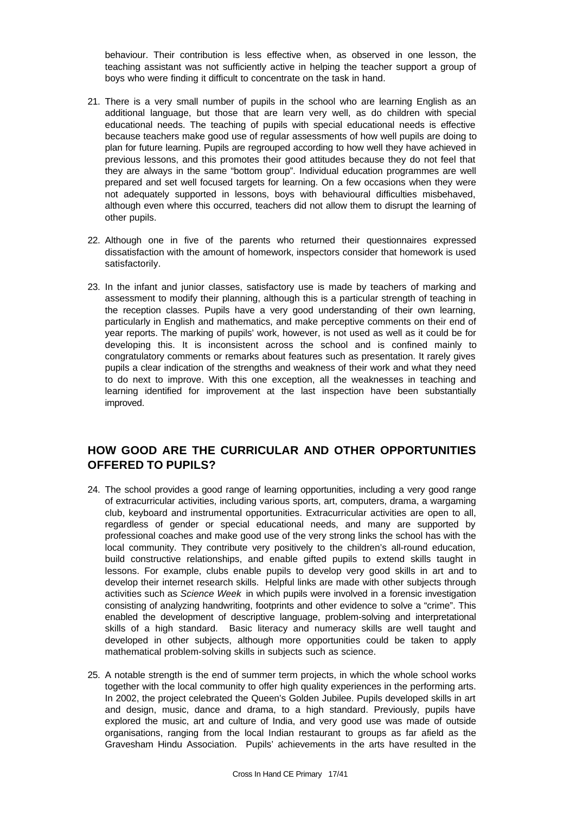behaviour. Their contribution is less effective when, as observed in one lesson, the teaching assistant was not sufficiently active in helping the teacher support a group of boys who were finding it difficult to concentrate on the task in hand.

- 21. There is a very small number of pupils in the school who are learning English as an additional language, but those that are learn very well, as do children with special educational needs. The teaching of pupils with special educational needs is effective because teachers make good use of regular assessments of how well pupils are doing to plan for future learning. Pupils are regrouped according to how well they have achieved in previous lessons, and this promotes their good attitudes because they do not feel that they are always in the same "bottom group". Individual education programmes are well prepared and set well focused targets for learning. On a few occasions when they were not adequately supported in lessons, boys with behavioural difficulties misbehaved, although even where this occurred, teachers did not allow them to disrupt the learning of other pupils.
- 22. Although one in five of the parents who returned their questionnaires expressed dissatisfaction with the amount of homework, inspectors consider that homework is used satisfactorily.
- 23. In the infant and junior classes, satisfactory use is made by teachers of marking and assessment to modify their planning, although this is a particular strength of teaching in the reception classes. Pupils have a very good understanding of their own learning, particularly in English and mathematics, and make perceptive comments on their end of year reports. The marking of pupils' work, however, is not used as well as it could be for developing this. It is inconsistent across the school and is confined mainly to congratulatory comments or remarks about features such as presentation. It rarely gives pupils a clear indication of the strengths and weakness of their work and what they need to do next to improve. With this one exception, all the weaknesses in teaching and learning identified for improvement at the last inspection have been substantially improved.

## **HOW GOOD ARE THE CURRICULAR AND OTHER OPPORTUNITIES OFFERED TO PUPILS?**

- 24. The school provides a good range of learning opportunities, including a very good range of extracurricular activities, including various sports, art, computers, drama, a wargaming club, keyboard and instrumental opportunities. Extracurricular activities are open to all, regardless of gender or special educational needs, and many are supported by professional coaches and make good use of the very strong links the school has with the local community. They contribute very positively to the children's all-round education, build constructive relationships, and enable gifted pupils to extend skills taught in lessons. For example, clubs enable pupils to develop very good skills in art and to develop their internet research skills. Helpful links are made with other subjects through activities such as *Science Week* in which pupils were involved in a forensic investigation consisting of analyzing handwriting, footprints and other evidence to solve a "crime". This enabled the development of descriptive language, problem-solving and interpretational skills of a high standard. Basic literacy and numeracy skills are well taught and developed in other subjects, although more opportunities could be taken to apply mathematical problem-solving skills in subjects such as science.
- 25. A notable strength is the end of summer term projects, in which the whole school works together with the local community to offer high quality experiences in the performing arts. In 2002, the project celebrated the Queen's Golden Jubilee. Pupils developed skills in art and design, music, dance and drama, to a high standard. Previously, pupils have explored the music, art and culture of India, and very good use was made of outside organisations, ranging from the local Indian restaurant to groups as far afield as the Gravesham Hindu Association. Pupils' achievements in the arts have resulted in the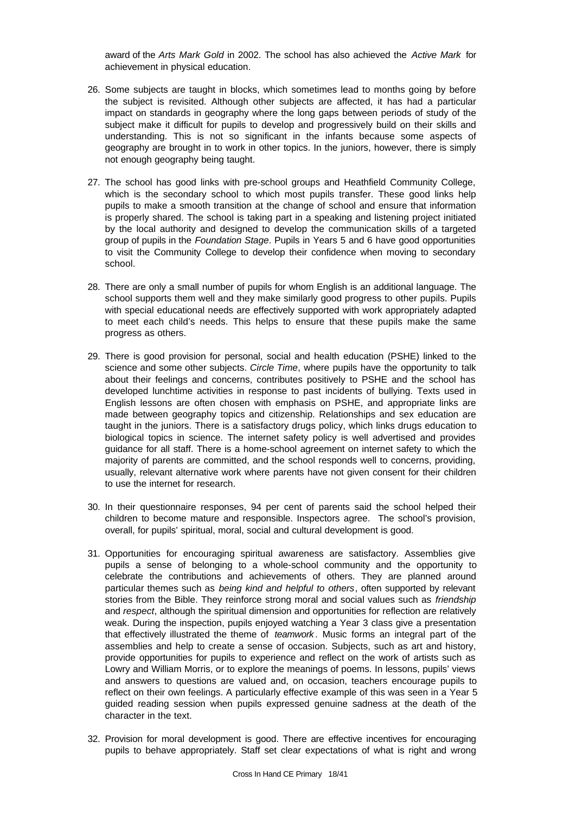award of the *Arts Mark Gold* in 2002. The school has also achieved the *Active Mark* for achievement in physical education.

- 26. Some subjects are taught in blocks, which sometimes lead to months going by before the subject is revisited. Although other subjects are affected, it has had a particular impact on standards in geography where the long gaps between periods of study of the subject make it difficult for pupils to develop and progressively build on their skills and understanding. This is not so significant in the infants because some aspects of geography are brought in to work in other topics. In the juniors, however, there is simply not enough geography being taught.
- 27. The school has good links with pre-school groups and Heathfield Community College, which is the secondary school to which most pupils transfer. These good links help pupils to make a smooth transition at the change of school and ensure that information is properly shared. The school is taking part in a speaking and listening project initiated by the local authority and designed to develop the communication skills of a targeted group of pupils in the *Foundation Stage*. Pupils in Years 5 and 6 have good opportunities to visit the Community College to develop their confidence when moving to secondary school.
- 28. There are only a small number of pupils for whom English is an additional language. The school supports them well and they make similarly good progress to other pupils. Pupils with special educational needs are effectively supported with work appropriately adapted to meet each child's needs. This helps to ensure that these pupils make the same progress as others.
- 29. There is good provision for personal, social and health education (PSHE) linked to the science and some other subjects. *Circle Time*, where pupils have the opportunity to talk about their feelings and concerns, contributes positively to PSHE and the school has developed lunchtime activities in response to past incidents of bullying. Texts used in English lessons are often chosen with emphasis on PSHE, and appropriate links are made between geography topics and citizenship. Relationships and sex education are taught in the juniors. There is a satisfactory drugs policy, which links drugs education to biological topics in science. The internet safety policy is well advertised and provides guidance for all staff. There is a home-school agreement on internet safety to which the majority of parents are committed, and the school responds well to concerns, providing, usually, relevant alternative work where parents have not given consent for their children to use the internet for research.
- 30. In their questionnaire responses, 94 per cent of parents said the school helped their children to become mature and responsible. Inspectors agree. The school's provision, overall, for pupils' spiritual, moral, social and cultural development is good.
- 31. Opportunities for encouraging spiritual awareness are satisfactory. Assemblies give pupils a sense of belonging to a whole-school community and the opportunity to celebrate the contributions and achievements of others. They are planned around particular themes such as *being kind and helpful to others*, often supported by relevant stories from the Bible. They reinforce strong moral and social values such as *friendship* and *respect*, although the spiritual dimension and opportunities for reflection are relatively weak. During the inspection, pupils enjoyed watching a Year 3 class give a presentation that effectively illustrated the theme of *teamwork* . Music forms an integral part of the assemblies and help to create a sense of occasion. Subjects, such as art and history, provide opportunities for pupils to experience and reflect on the work of artists such as Lowry and William Morris, or to explore the meanings of poems. In lessons, pupils' views and answers to questions are valued and, on occasion, teachers encourage pupils to reflect on their own feelings. A particularly effective example of this was seen in a Year 5 guided reading session when pupils expressed genuine sadness at the death of the character in the text.
- 32. Provision for moral development is good. There are effective incentives for encouraging pupils to behave appropriately. Staff set clear expectations of what is right and wrong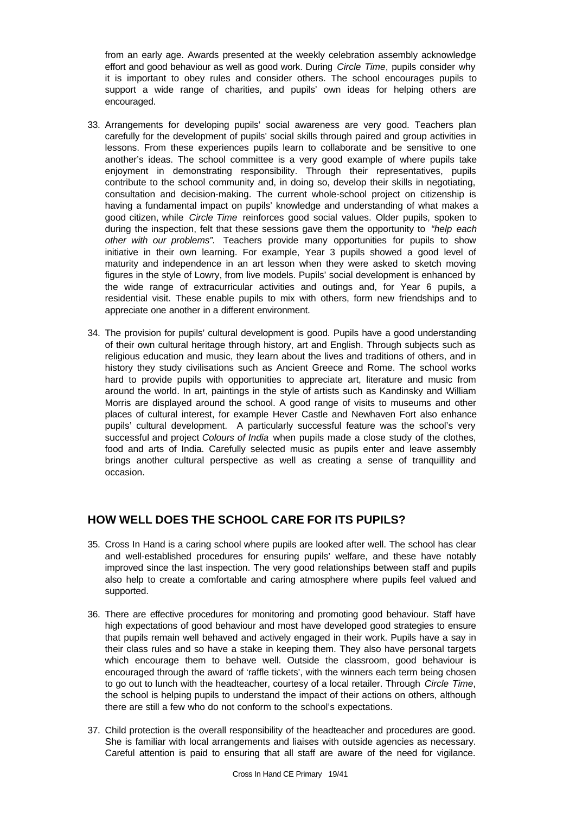from an early age. Awards presented at the weekly celebration assembly acknowledge effort and good behaviour as well as good work. During *Circle Time*, pupils consider why it is important to obey rules and consider others. The school encourages pupils to support a wide range of charities, and pupils' own ideas for helping others are encouraged.

- 33. Arrangements for developing pupils' social awareness are very good. Teachers plan carefully for the development of pupils' social skills through paired and group activities in lessons. From these experiences pupils learn to collaborate and be sensitive to one another's ideas. The school committee is a very good example of where pupils take enjoyment in demonstrating responsibility. Through their representatives, pupils contribute to the school community and, in doing so, develop their skills in negotiating, consultation and decision-making. The current whole-school project on citizenship is having a fundamental impact on pupils' knowledge and understanding of what makes a good citizen, while *Circle Time* reinforces good social values. Older pupils, spoken to during the inspection, felt that these sessions gave them the opportunity to *"help each other with our problems".* Teachers provide many opportunities for pupils to show initiative in their own learning. For example, Year 3 pupils showed a good level of maturity and independence in an art lesson when they were asked to sketch moving figures in the style of Lowry, from live models. Pupils' social development is enhanced by the wide range of extracurricular activities and outings and, for Year 6 pupils, a residential visit. These enable pupils to mix with others, form new friendships and to appreciate one another in a different environment.
- 34. The provision for pupils' cultural development is good. Pupils have a good understanding of their own cultural heritage through history, art and English. Through subjects such as religious education and music, they learn about the lives and traditions of others, and in history they study civilisations such as Ancient Greece and Rome. The school works hard to provide pupils with opportunities to appreciate art, literature and music from around the world. In art, paintings in the style of artists such as Kandinsky and William Morris are displayed around the school. A good range of visits to museums and other places of cultural interest, for example Hever Castle and Newhaven Fort also enhance pupils' cultural development. A particularly successful feature was the school's very successful and project *Colours of India* when pupils made a close study of the clothes, food and arts of India. Carefully selected music as pupils enter and leave assembly brings another cultural perspective as well as creating a sense of tranquillity and occasion.

## **HOW WELL DOES THE SCHOOL CARE FOR ITS PUPILS?**

- 35. Cross In Hand is a caring school where pupils are looked after well. The school has clear and well-established procedures for ensuring pupils' welfare, and these have notably improved since the last inspection. The very good relationships between staff and pupils also help to create a comfortable and caring atmosphere where pupils feel valued and supported.
- 36. There are effective procedures for monitoring and promoting good behaviour. Staff have high expectations of good behaviour and most have developed good strategies to ensure that pupils remain well behaved and actively engaged in their work. Pupils have a say in their class rules and so have a stake in keeping them. They also have personal targets which encourage them to behave well. Outside the classroom, good behaviour is encouraged through the award of 'raffle tickets', with the winners each term being chosen to go out to lunch with the headteacher, courtesy of a local retailer. Through *Circle Time*, the school is helping pupils to understand the impact of their actions on others, although there are still a few who do not conform to the school's expectations.
- 37. Child protection is the overall responsibility of the headteacher and procedures are good. She is familiar with local arrangements and liaises with outside agencies as necessary. Careful attention is paid to ensuring that all staff are aware of the need for vigilance.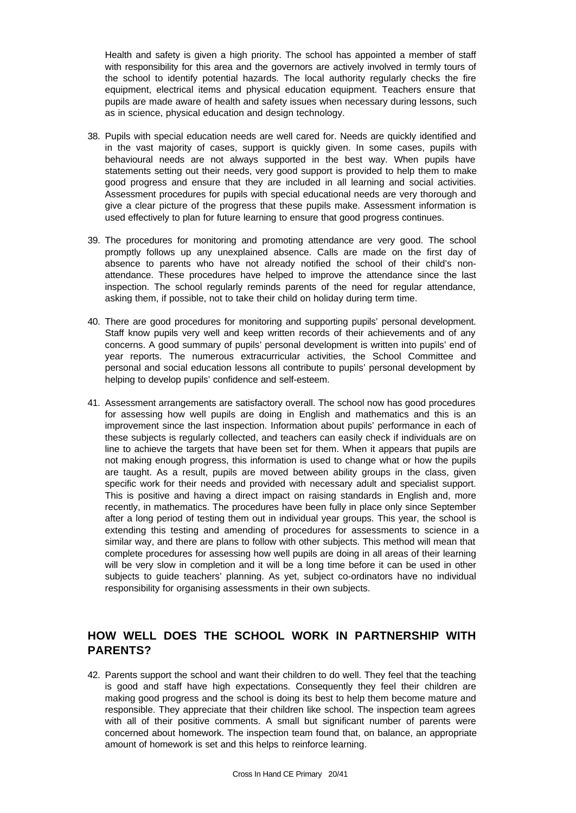Health and safety is given a high priority. The school has appointed a member of staff with responsibility for this area and the governors are actively involved in termly tours of the school to identify potential hazards. The local authority regularly checks the fire equipment, electrical items and physical education equipment. Teachers ensure that pupils are made aware of health and safety issues when necessary during lessons, such as in science, physical education and design technology.

- 38. Pupils with special education needs are well cared for. Needs are quickly identified and in the vast majority of cases, support is quickly given. In some cases, pupils with behavioural needs are not always supported in the best way. When pupils have statements setting out their needs, very good support is provided to help them to make good progress and ensure that they are included in all learning and social activities. Assessment procedures for pupils with special educational needs are very thorough and give a clear picture of the progress that these pupils make. Assessment information is used effectively to plan for future learning to ensure that good progress continues.
- 39. The procedures for monitoring and promoting attendance are very good. The school promptly follows up any unexplained absence. Calls are made on the first day of absence to parents who have not already notified the school of their child's nonattendance. These procedures have helped to improve the attendance since the last inspection. The school regularly reminds parents of the need for regular attendance, asking them, if possible, not to take their child on holiday during term time.
- 40. There are good procedures for monitoring and supporting pupils' personal development. Staff know pupils very well and keep written records of their achievements and of any concerns. A good summary of pupils' personal development is written into pupils' end of year reports. The numerous extracurricular activities, the School Committee and personal and social education lessons all contribute to pupils' personal development by helping to develop pupils' confidence and self-esteem.
- 41. Assessment arrangements are satisfactory overall. The school now has good procedures for assessing how well pupils are doing in English and mathematics and this is an improvement since the last inspection. Information about pupils' performance in each of these subjects is regularly collected, and teachers can easily check if individuals are on line to achieve the targets that have been set for them. When it appears that pupils are not making enough progress, this information is used to change what or how the pupils are taught. As a result, pupils are moved between ability groups in the class, given specific work for their needs and provided with necessary adult and specialist support. This is positive and having a direct impact on raising standards in English and, more recently, in mathematics. The procedures have been fully in place only since September after a long period of testing them out in individual year groups. This year, the school is extending this testing and amending of procedures for assessments to science in a similar way, and there are plans to follow with other subjects. This method will mean that complete procedures for assessing how well pupils are doing in all areas of their learning will be very slow in completion and it will be a long time before it can be used in other subjects to guide teachers' planning. As yet, subject co-ordinators have no individual responsibility for organising assessments in their own subjects.

## **HOW WELL DOES THE SCHOOL WORK IN PARTNERSHIP WITH PARENTS?**

42. Parents support the school and want their children to do well. They feel that the teaching is good and staff have high expectations. Consequently they feel their children are making good progress and the school is doing its best to help them become mature and responsible. They appreciate that their children like school. The inspection team agrees with all of their positive comments. A small but significant number of parents were concerned about homework. The inspection team found that, on balance, an appropriate amount of homework is set and this helps to reinforce learning.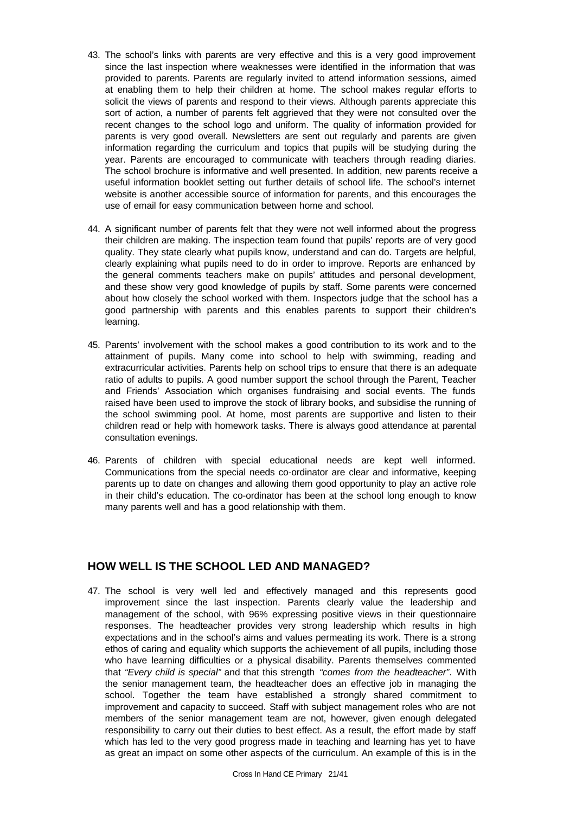- 43. The school's links with parents are very effective and this is a very good improvement since the last inspection where weaknesses were identified in the information that was provided to parents. Parents are regularly invited to attend information sessions, aimed at enabling them to help their children at home. The school makes regular efforts to solicit the views of parents and respond to their views. Although parents appreciate this sort of action, a number of parents felt aggrieved that they were not consulted over the recent changes to the school logo and uniform. The quality of information provided for parents is very good overall. Newsletters are sent out regularly and parents are given information regarding the curriculum and topics that pupils will be studying during the year. Parents are encouraged to communicate with teachers through reading diaries. The school brochure is informative and well presented. In addition, new parents receive a useful information booklet setting out further details of school life. The school's internet website is another accessible source of information for parents, and this encourages the use of email for easy communication between home and school.
- 44. A significant number of parents felt that they were not well informed about the progress their children are making. The inspection team found that pupils' reports are of very good quality. They state clearly what pupils know, understand and can do. Targets are helpful, clearly explaining what pupils need to do in order to improve. Reports are enhanced by the general comments teachers make on pupils' attitudes and personal development, and these show very good knowledge of pupils by staff. Some parents were concerned about how closely the school worked with them. Inspectors judge that the school has a good partnership with parents and this enables parents to support their children's learning.
- 45. Parents' involvement with the school makes a good contribution to its work and to the attainment of pupils. Many come into school to help with swimming, reading and extracurricular activities. Parents help on school trips to ensure that there is an adequate ratio of adults to pupils. A good number support the school through the Parent, Teacher and Friends' Association which organises fundraising and social events. The funds raised have been used to improve the stock of library books, and subsidise the running of the school swimming pool. At home, most parents are supportive and listen to their children read or help with homework tasks. There is always good attendance at parental consultation evenings.
- 46. Parents of children with special educational needs are kept well informed. Communications from the special needs co-ordinator are clear and informative, keeping parents up to date on changes and allowing them good opportunity to play an active role in their child's education. The co-ordinator has been at the school long enough to know many parents well and has a good relationship with them.

## **HOW WELL IS THE SCHOOL LED AND MANAGED?**

47. The school is very well led and effectively managed and this represents good improvement since the last inspection. Parents clearly value the leadership and management of the school, with 96% expressing positive views in their questionnaire responses. The headteacher provides very strong leadership which results in high expectations and in the school's aims and values permeating its work. There is a strong ethos of caring and equality which supports the achievement of all pupils, including those who have learning difficulties or a physical disability. Parents themselves commented that *"Every child is special"* and that this strength *"comes from the headteacher"*. With the senior management team, the headteacher does an effective job in managing the school. Together the team have established a strongly shared commitment to improvement and capacity to succeed. Staff with subject management roles who are not members of the senior management team are not, however, given enough delegated responsibility to carry out their duties to best effect. As a result, the effort made by staff which has led to the very good progress made in teaching and learning has yet to have as great an impact on some other aspects of the curriculum. An example of this is in the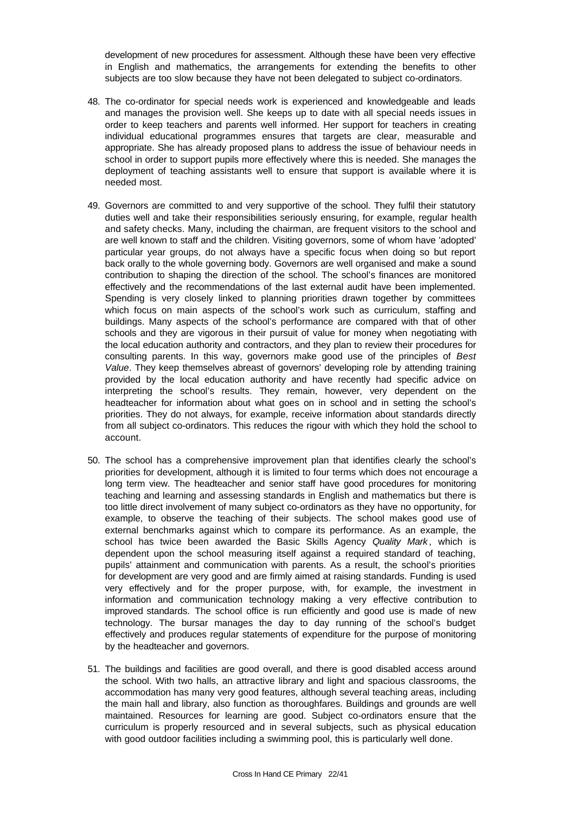development of new procedures for assessment. Although these have been very effective in English and mathematics, the arrangements for extending the benefits to other subjects are too slow because they have not been delegated to subject co-ordinators.

- 48. The co-ordinator for special needs work is experienced and knowledgeable and leads and manages the provision well. She keeps up to date with all special needs issues in order to keep teachers and parents well informed. Her support for teachers in creating individual educational programmes ensures that targets are clear, measurable and appropriate. She has already proposed plans to address the issue of behaviour needs in school in order to support pupils more effectively where this is needed. She manages the deployment of teaching assistants well to ensure that support is available where it is needed most.
- 49. Governors are committed to and very supportive of the school. They fulfil their statutory duties well and take their responsibilities seriously ensuring, for example, regular health and safety checks. Many, including the chairman, are frequent visitors to the school and are well known to staff and the children. Visiting governors, some of whom have 'adopted' particular year groups, do not always have a specific focus when doing so but report back orally to the whole governing body. Governors are well organised and make a sound contribution to shaping the direction of the school. The school's finances are monitored effectively and the recommendations of the last external audit have been implemented. Spending is very closely linked to planning priorities drawn together by committees which focus on main aspects of the school's work such as curriculum, staffing and buildings. Many aspects of the school's performance are compared with that of other schools and they are vigorous in their pursuit of value for money when negotiating with the local education authority and contractors, and they plan to review their procedures for consulting parents. In this way, governors make good use of the principles of *Best Value*. They keep themselves abreast of governors' developing role by attending training provided by the local education authority and have recently had specific advice on interpreting the school's results. They remain, however, very dependent on the headteacher for information about what goes on in school and in setting the school's priorities. They do not always, for example, receive information about standards directly from all subject co-ordinators. This reduces the rigour with which they hold the school to account.
- 50. The school has a comprehensive improvement plan that identifies clearly the school's priorities for development, although it is limited to four terms which does not encourage a long term view. The headteacher and senior staff have good procedures for monitoring teaching and learning and assessing standards in English and mathematics but there is too little direct involvement of many subject co-ordinators as they have no opportunity, for example, to observe the teaching of their subjects. The school makes good use of external benchmarks against which to compare its performance. As an example, the school has twice been awarded the Basic Skills Agency *Quality Mark* , which is dependent upon the school measuring itself against a required standard of teaching, pupils' attainment and communication with parents. As a result, the school's priorities for development are very good and are firmly aimed at raising standards. Funding is used very effectively and for the proper purpose, with, for example, the investment in information and communication technology making a very effective contribution to improved standards. The school office is run efficiently and good use is made of new technology. The bursar manages the day to day running of the school's budget effectively and produces regular statements of expenditure for the purpose of monitoring by the headteacher and governors.
- 51. The buildings and facilities are good overall, and there is good disabled access around the school. With two halls, an attractive library and light and spacious classrooms, the accommodation has many very good features, although several teaching areas, including the main hall and library, also function as thoroughfares. Buildings and grounds are well maintained. Resources for learning are good. Subject co-ordinators ensure that the curriculum is properly resourced and in several subjects, such as physical education with good outdoor facilities including a swimming pool, this is particularly well done.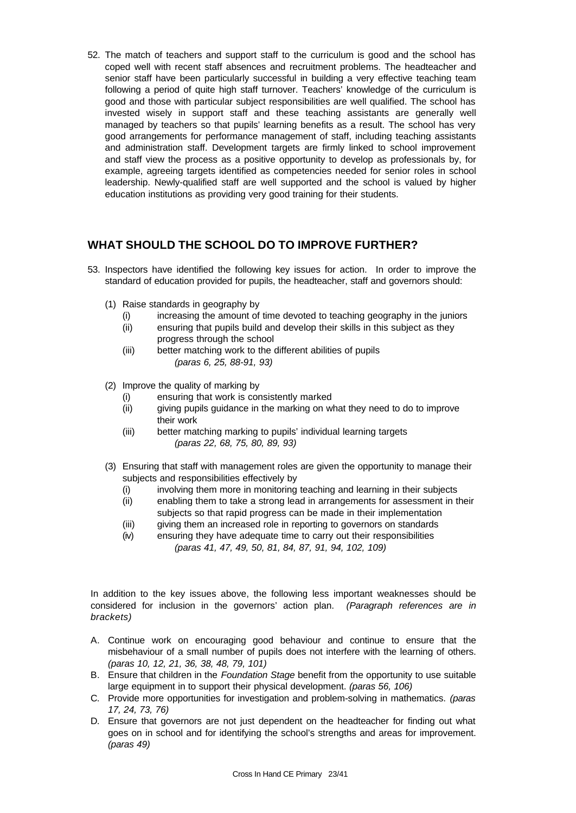52. The match of teachers and support staff to the curriculum is good and the school has coped well with recent staff absences and recruitment problems. The headteacher and senior staff have been particularly successful in building a very effective teaching team following a period of quite high staff turnover. Teachers' knowledge of the curriculum is good and those with particular subject responsibilities are well qualified. The school has invested wisely in support staff and these teaching assistants are generally well managed by teachers so that pupils' learning benefits as a result. The school has very good arrangements for performance management of staff, including teaching assistants and administration staff. Development targets are firmly linked to school improvement and staff view the process as a positive opportunity to develop as professionals by, for example, agreeing targets identified as competencies needed for senior roles in school leadership. Newly-qualified staff are well supported and the school is valued by higher education institutions as providing very good training for their students.

## **WHAT SHOULD THE SCHOOL DO TO IMPROVE FURTHER?**

- 53. Inspectors have identified the following key issues for action. In order to improve the standard of education provided for pupils, the headteacher, staff and governors should:
	- (1) Raise standards in geography by
		- (i) increasing the amount of time devoted to teaching geography in the juniors
		- (ii) ensuring that pupils build and develop their skills in this subject as they progress through the school
		- (iii) better matching work to the different abilities of pupils *(paras 6, 25, 88-91, 93)*
	- (2) Improve the quality of marking by
		- (i) ensuring that work is consistently marked
		- (ii) giving pupils guidance in the marking on what they need to do to improve their work
		- (iii) better matching marking to pupils' individual learning targets *(paras 22, 68, 75, 80, 89, 93)*
	- (3) Ensuring that staff with management roles are given the opportunity to manage their subjects and responsibilities effectively by
		- (i) involving them more in monitoring teaching and learning in their subjects
		- (ii) enabling them to take a strong lead in arrangements for assessment in their subjects so that rapid progress can be made in their implementation
		- (iii) giving them an increased role in reporting to governors on standards
		- (iv) ensuring they have adequate time to carry out their responsibilities *(paras 41, 47, 49, 50, 81, 84, 87, 91, 94, 102, 109)*

In addition to the key issues above, the following less important weaknesses should be considered for inclusion in the governors' action plan. *(Paragraph references are in brackets)*

- A. Continue work on encouraging good behaviour and continue to ensure that the misbehaviour of a small number of pupils does not interfere with the learning of others. *(paras 10, 12, 21, 36, 38, 48, 79, 101)*
- B. Ensure that children in the *Foundation Stage* benefit from the opportunity to use suitable large equipment in to support their physical development. *(paras 56, 106)*
- C. Provide more opportunities for investigation and problem-solving in mathematics. *(paras 17, 24, 73, 76)*
- D. Ensure that governors are not just dependent on the headteacher for finding out what goes on in school and for identifying the school's strengths and areas for improvement. *(paras 49)*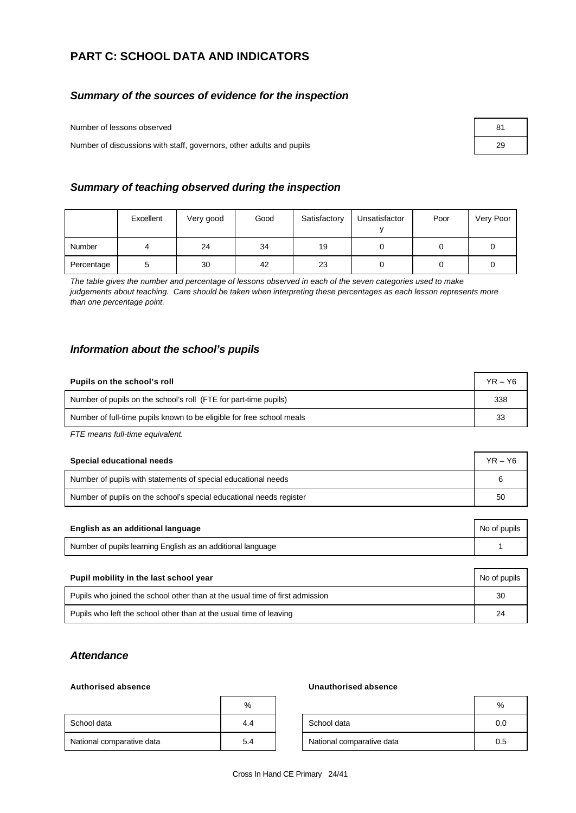## **PART C: SCHOOL DATA AND INDICATORS**

### *Summary of the sources of evidence for the inspection*

Number of lessons observed

Number of discussions with staff, governors, other adults and pupils

| 81 |  |
|----|--|
| 29 |  |

### *Summary of teaching observed during the inspection*

|            | Excellent | Very good | Good | Satisfactory | Unsatisfactor | Poor | Very Poor |
|------------|-----------|-----------|------|--------------|---------------|------|-----------|
| Number     |           | 24        | 34   | 19           |               |      |           |
| Percentage | ວ         | 30        | 42   | 23           |               |      |           |

*The table gives the number and percentage of lessons observed in each of the seven categories used to make judgements about teaching. Care should be taken when interpreting these percentages as each lesson represents more than one percentage point.*

### *Information about the school's pupils*

| Pupils on the school's roll                                           |     |  |  |
|-----------------------------------------------------------------------|-----|--|--|
| Number of pupils on the school's roll (FTE for part-time pupils)      | 338 |  |  |
| Number of full-time pupils known to be eligible for free school meals |     |  |  |

*FTE means full-time equivalent.*

| Special educational needs                                           |  |  |  |
|---------------------------------------------------------------------|--|--|--|
| Number of pupils with statements of special educational needs       |  |  |  |
| Number of pupils on the school's special educational needs register |  |  |  |

|                                                             | English as an additional language<br>No of pupils |  |  |
|-------------------------------------------------------------|---------------------------------------------------|--|--|
| Number of pupils learning English as an additional language |                                                   |  |  |

| Pupil mobility in the last school year                                       |    |  |  |
|------------------------------------------------------------------------------|----|--|--|
| Pupils who joined the school other than at the usual time of first admission |    |  |  |
| Pupils who left the school other than at the usual time of leaving           | 24 |  |  |

### *Attendance*

|                           | %   |                           | %   |
|---------------------------|-----|---------------------------|-----|
| School data               | 4.4 | School data               | 0.0 |
| National comparative data | 5.4 | National comparative data | 0.5 |

### **Authorised absence Unauthorised absence**

| %   |                           | %   |
|-----|---------------------------|-----|
| 4.4 | School data               | 0.0 |
| 5.4 | National comparative data | 0.5 |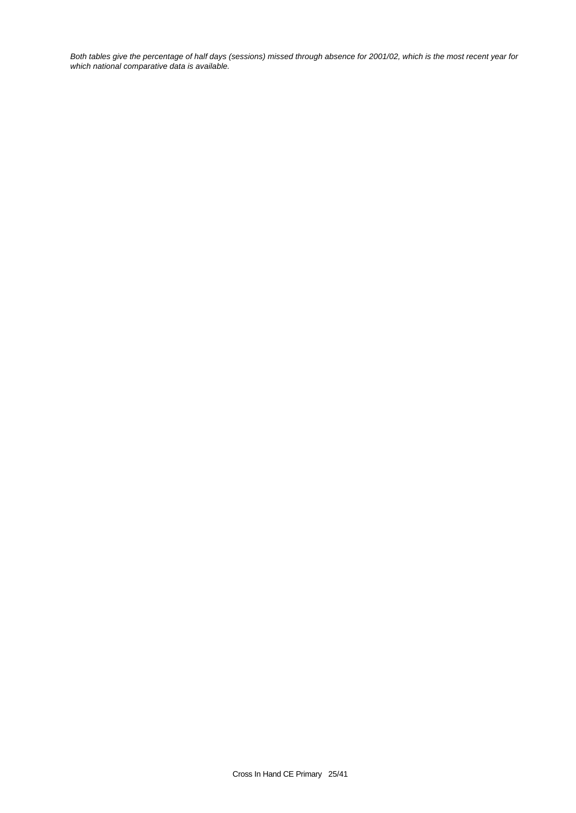*Both tables give the percentage of half days (sessions) missed through absence for 2001/02, which is the most recent year for which national comparative data is available.*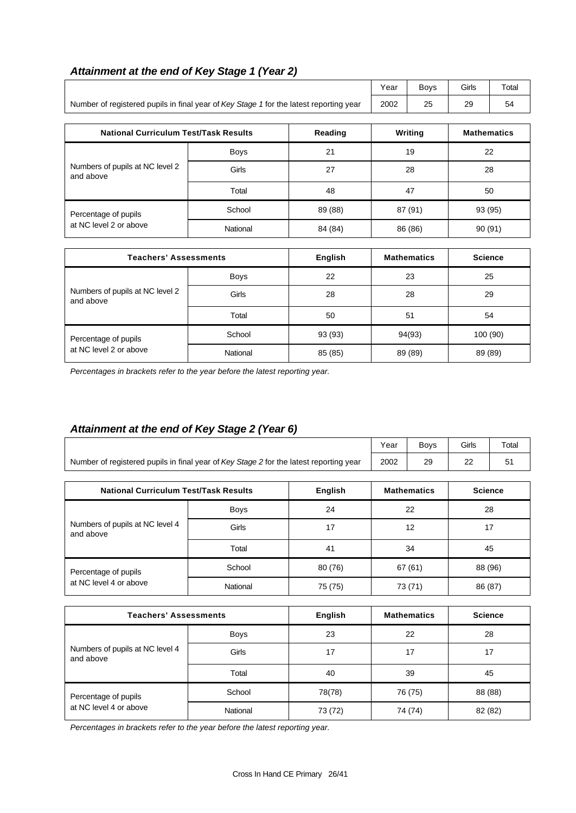| Attainment at the end of Key Stage 1 (Year 2) |  |  |
|-----------------------------------------------|--|--|
|-----------------------------------------------|--|--|

|                                                                                        |          |                | Year    | Boys               | Girls    | Total              |  |
|----------------------------------------------------------------------------------------|----------|----------------|---------|--------------------|----------|--------------------|--|
| Number of registered pupils in final year of Key Stage 1 for the latest reporting year | 2002     | 25             | 29      | 54                 |          |                    |  |
| <b>National Curriculum Test/Task Results</b>                                           |          | Reading        |         | Writing            |          | <b>Mathematics</b> |  |
|                                                                                        | Boys     | 21             | 19      |                    | 22       |                    |  |
| Numbers of pupils at NC level 2<br>and above                                           | Girls    | 27             |         | 28                 |          | 28                 |  |
|                                                                                        | Total    | 48             | 47      |                    | 50       |                    |  |
| Percentage of pupils                                                                   | School   | 89 (88)        | 87 (91) |                    | 93 (95)  |                    |  |
| at NC level 2 or above                                                                 | National | 84 (84)        | 86 (86) |                    | 90(91)   |                    |  |
| <b>Teachers' Assessments</b>                                                           |          | <b>English</b> |         | <b>Mathematics</b> |          | <b>Science</b>     |  |
|                                                                                        | Boys     | 22             |         | 23                 |          | 25                 |  |
| Numbers of pupils at NC level 2<br>and above                                           | Girls    | 28             | 28      |                    |          | 29                 |  |
|                                                                                        | Total    | 50             | 51      |                    |          | 54                 |  |
| Percentage of pupils                                                                   | School   | 93 (93)        | 94(93)  |                    | 100 (90) |                    |  |
| at NC level 2 or above                                                                 | National | 85 (85)        |         | 89 (89)<br>89 (89) |          |                    |  |

*Percentages in brackets refer to the year before the latest reporting year.*

## *Attainment at the end of Key Stage 2 (Year 6)*

|                                                                                        | Year | Bovs | Girls | Total |
|----------------------------------------------------------------------------------------|------|------|-------|-------|
| Number of registered pupils in final year of Key Stage 2 for the latest reporting year | 2002 | 29   | nr    |       |

| <b>National Curriculum Test/Task Results</b> | English     | <b>Mathematics</b> | <b>Science</b> |         |
|----------------------------------------------|-------------|--------------------|----------------|---------|
|                                              | <b>Boys</b> | 24                 | 22             | 28      |
| Numbers of pupils at NC level 4<br>and above | Girls       | 17                 | 12             | 17      |
|                                              | Total       | 41                 | 34             | 45      |
| Percentage of pupils                         | School      | 80 (76)            | 67(61)         | 88 (96) |
| at NC level 4 or above                       | National    | 75 (75)            | 73 (71)        | 86 (87) |

| <b>Teachers' Assessments</b>                 | English     | <b>Mathematics</b> | <b>Science</b> |         |
|----------------------------------------------|-------------|--------------------|----------------|---------|
|                                              | <b>Boys</b> | 23                 | 22             | 28      |
| Numbers of pupils at NC level 4<br>and above | Girls       | 17                 | 17             | 17      |
|                                              | Total       | 40                 | 39             | 45      |
| Percentage of pupils                         | School      | 78(78)             | 76 (75)        | 88 (88) |
| at NC level 4 or above                       | National    | 73 (72)            | 74 (74)        | 82 (82) |

*Percentages in brackets refer to the year before the latest reporting year.*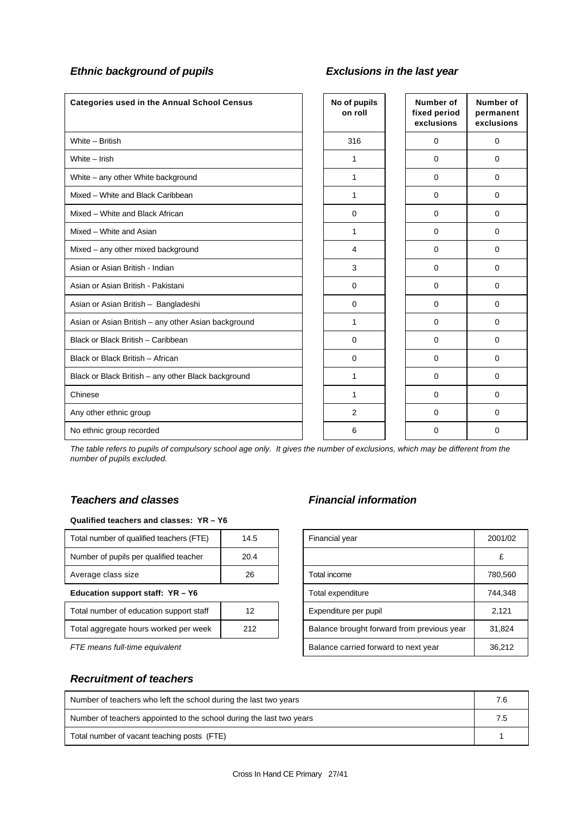## *Ethnic background of pupils Exclusions in the last year*

| <b>Categories used in the Annual School Census</b>  | No of pupils<br>on roll | <b>Number of</b><br>fixed period<br>exclusions | Number of<br>permanent<br>exclusions |
|-----------------------------------------------------|-------------------------|------------------------------------------------|--------------------------------------|
| White - British                                     | 316                     | 0                                              | $\mathbf 0$                          |
| White - Irish                                       | 1                       | $\Omega$                                       | $\Omega$                             |
| White - any other White background                  | 1                       | $\Omega$                                       | $\Omega$                             |
| Mixed - White and Black Caribbean                   | 1                       | $\mathbf 0$                                    | $\Omega$                             |
| Mixed - White and Black African                     | $\mathbf 0$             | $\Omega$                                       | $\Omega$                             |
| Mixed - White and Asian                             | 1                       | $\mathbf 0$                                    | $\mathbf 0$                          |
| Mixed - any other mixed background                  | 4                       | $\Omega$                                       | $\mathbf 0$                          |
| Asian or Asian British - Indian                     | 3                       | $\Omega$                                       | $\Omega$                             |
| Asian or Asian British - Pakistani                  | $\mathbf 0$             | $\mathbf 0$                                    | $\Omega$                             |
| Asian or Asian British - Bangladeshi                | $\mathbf 0$             | $\Omega$                                       | $\Omega$                             |
| Asian or Asian British - any other Asian background | 1                       | $\Omega$                                       | $\Omega$                             |
| Black or Black British - Caribbean                  | $\mathbf 0$             | $\Omega$                                       | $\Omega$                             |
| Black or Black British - African                    | $\mathbf 0$             | $\mathbf 0$                                    | 0                                    |
| Black or Black British - any other Black background | 1                       | $\Omega$                                       | $\Omega$                             |
| Chinese                                             | 1                       | $\Omega$                                       | $\Omega$                             |
| Any other ethnic group                              | 2                       | $\mathbf 0$                                    | $\Omega$                             |
| No ethnic group recorded                            | 6                       | $\Omega$                                       | $\Omega$                             |

*The table refers to pupils of compulsory school age only. It gives the number of exclusions, which may be different from the number of pupils excluded.*

### *Teachers and classes Financial information*

### **Qualified teachers and classes: YR – Y6**

| Total number of qualified teachers (FTE) | 14.5 |              | Financial year                             | 2001/0 |
|------------------------------------------|------|--------------|--------------------------------------------|--------|
| Number of pupils per qualified teacher   | 20.4 |              |                                            |        |
| Average class size                       | 26   | Total income |                                            | 780,56 |
| Education support staff: $YR - Y6$       |      |              | Total expenditure                          | 744,34 |
| Total number of education support staff  | 12   |              | Expenditure per pupil                      | 2,121  |
| Total aggregate hours worked per week    | 212  |              | Balance brought forward from previous year | 31,824 |

| Total number of qualified teachers (FTE) | 14.5 | Financial year                             | 2001/02 |
|------------------------------------------|------|--------------------------------------------|---------|
| Number of pupils per qualified teacher   | 20.4 |                                            |         |
| Average class size                       | 26   | Total income                               | 780,560 |
| Education support staff: YR - Y6         |      | Total expenditure                          | 744,348 |
| Total number of education support staff  | 12   | Expenditure per pupil                      | 2,121   |
| Total aggregate hours worked per week    | 212  | Balance brought forward from previous year | 31,824  |
| FTE means full-time equivalent           |      | Balance carried forward to next year       | 36,212  |

### *Recruitment of teachers*

| Number of teachers who left the school during the last two years     |     |
|----------------------------------------------------------------------|-----|
| Number of teachers appointed to the school during the last two years | 7.5 |
| Total number of vacant teaching posts (FTE)                          |     |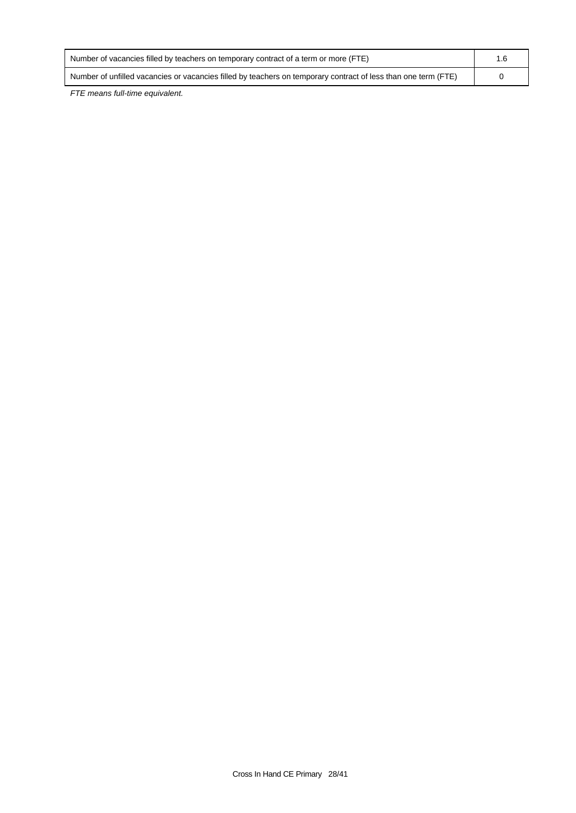| Number of vacancies filled by teachers on temporary contract of a term or more (FTE)                           |  |
|----------------------------------------------------------------------------------------------------------------|--|
| Number of unfilled vacancies or vacancies filled by teachers on temporary contract of less than one term (FTE) |  |

*FTE means full-time equivalent.*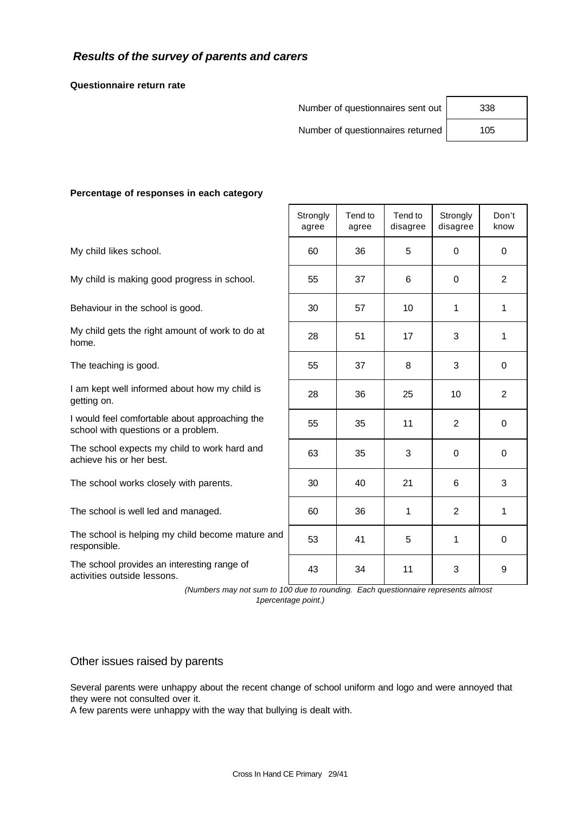## *Results of the survey of parents and carers*

**Questionnaire return rate**

Number of questionnaires sent out | 338

Number of questionnaires returned | 105

### **Percentage of responses in each category**

The school provides an interesting range of activities outside lessons.

| Percentage of responses in each category                                              |                   |                  |                     |                      |                |  |
|---------------------------------------------------------------------------------------|-------------------|------------------|---------------------|----------------------|----------------|--|
|                                                                                       | Strongly<br>agree | Tend to<br>agree | Tend to<br>disagree | Strongly<br>disagree | Don't<br>know  |  |
| My child likes school.                                                                | 60                | 36               | 5                   | $\Omega$             | $\Omega$       |  |
| My child is making good progress in school.                                           | 55                | 37               | 6                   | $\Omega$             | $\overline{2}$ |  |
| Behaviour in the school is good.                                                      | 30                | 57               | 10                  | 1                    | $\mathbf{1}$   |  |
| My child gets the right amount of work to do at<br>home.                              | 28                | 51               | 17                  | 3                    | 1              |  |
| The teaching is good.                                                                 | 55                | 37               | 8                   | 3                    | $\Omega$       |  |
| I am kept well informed about how my child is<br>getting on.                          | 28                | 36               | 25                  | 10                   | $\mathbf{2}$   |  |
| I would feel comfortable about approaching the<br>school with questions or a problem. | 55                | 35               | 11                  | $\overline{2}$       | $\mathbf 0$    |  |
| The school expects my child to work hard and<br>achieve his or her best.              | 63                | 35               | 3                   | $\Omega$             | $\Omega$       |  |
| The school works closely with parents.                                                | 30                | 40               | 21                  | 6                    | 3              |  |
| The school is well led and managed.                                                   | 60                | 36               | 1                   | $\overline{2}$       | 1              |  |
| The school is helping my child become mature and<br>responsible.                      | 53                | 41               | 5                   | 1                    | $\Omega$       |  |
| The school provides an interesting range of<br>ويمتمنهم الماملين والمستحلفان والقمام  | 43                | 34               | 11                  | 3                    | 9              |  |

 *(Numbers may not sum to 100 due to rounding. Each questionnaire represents almost 1percentage point.)*

### Other issues raised by parents

Several parents were unhappy about the recent change of school uniform and logo and were annoyed that they were not consulted over it.

A few parents were unhappy with the way that bullying is dealt with.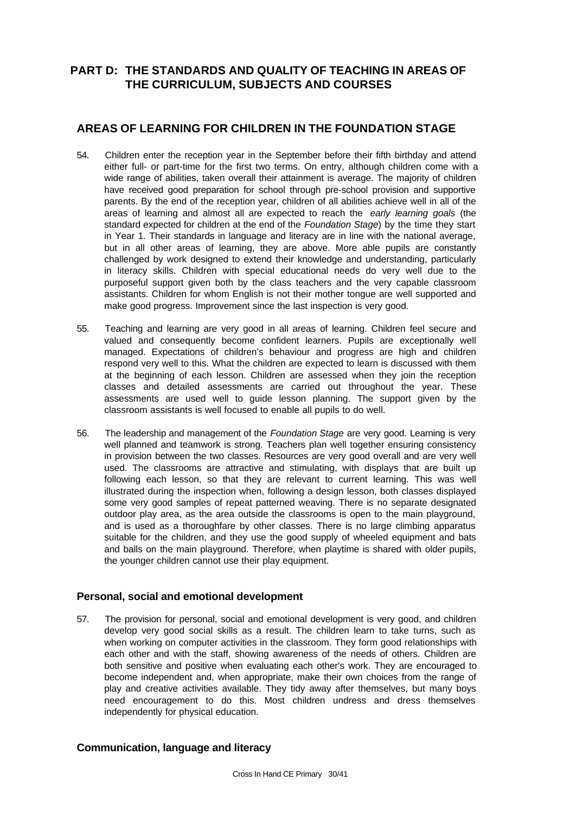## **PART D: THE STANDARDS AND QUALITY OF TEACHING IN AREAS OF THE CURRICULUM, SUBJECTS AND COURSES**

## **AREAS OF LEARNING FOR CHILDREN IN THE FOUNDATION STAGE**

- 54. Children enter the reception year in the September before their fifth birthday and attend either full- or part-time for the first two terms. On entry, although children come with a wide range of abilities, taken overall their attainment is average. The majority of children have received good preparation for school through pre-school provision and supportive parents. By the end of the reception year, children of all abilities achieve well in all of the areas of learning and almost all are expected to reach the *early learning goals* (the standard expected for children at the end of the *Foundation Stage*) by the time they start in Year 1. Their standards in language and literacy are in line with the national average, but in all other areas of learning, they are above. More able pupils are constantly challenged by work designed to extend their knowledge and understanding, particularly in literacy skills. Children with special educational needs do very well due to the purposeful support given both by the class teachers and the very capable classroom assistants. Children for whom English is not their mother tongue are well supported and make good progress. Improvement since the last inspection is very good.
- 55. Teaching and learning are very good in all areas of learning. Children feel secure and valued and consequently become confident learners. Pupils are exceptionally well managed. Expectations of children's behaviour and progress are high and children respond very well to this. What the children are expected to learn is discussed with them at the beginning of each lesson. Children are assessed when they join the reception classes and detailed assessments are carried out throughout the year. These assessments are used well to guide lesson planning. The support given by the classroom assistants is well focused to enable all pupils to do well.
- 56. The leadership and management of the *Foundation Stage* are very good. Learning is very well planned and teamwork is strong. Teachers plan well together ensuring consistency in provision between the two classes. Resources are very good overall and are very well used. The classrooms are attractive and stimulating, with displays that are built up following each lesson, so that they are relevant to current learning. This was well illustrated during the inspection when, following a design lesson, both classes displayed some very good samples of repeat patterned weaving. There is no separate designated outdoor play area, as the area outside the classrooms is open to the main playground, and is used as a thoroughfare by other classes. There is no large climbing apparatus suitable for the children, and they use the good supply of wheeled equipment and bats and balls on the main playground. Therefore, when playtime is shared with older pupils, the younger children cannot use their play equipment.

### **Personal, social and emotional development**

57. The provision for personal, social and emotional development is very good, and children develop very good social skills as a result. The children learn to take turns, such as when working on computer activities in the classroom. They form good relationships with each other and with the staff, showing awareness of the needs of others. Children are both sensitive and positive when evaluating each other's work. They are encouraged to become independent and, when appropriate, make their own choices from the range of play and creative activities available. They tidy away after themselves, but many boys need encouragement to do this. Most children undress and dress themselves independently for physical education.

### **Communication, language and literacy**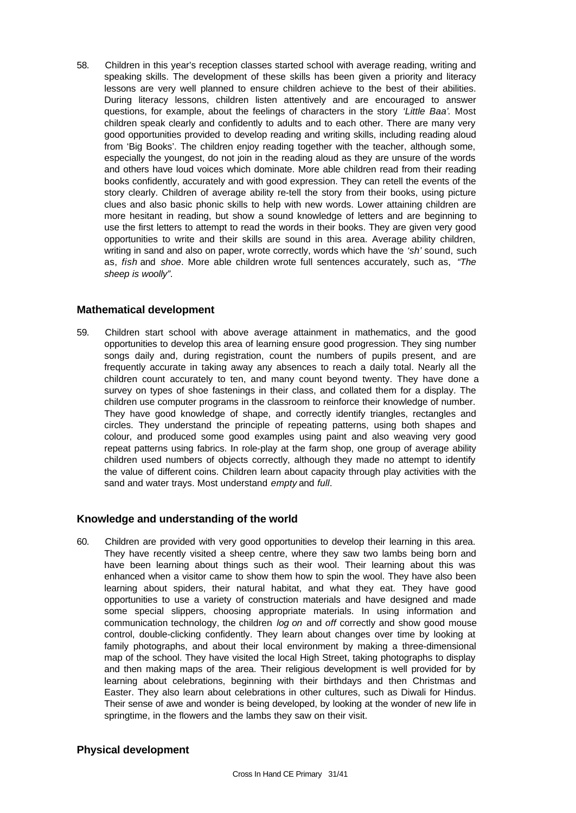58. Children in this year's reception classes started school with average reading, writing and speaking skills. The development of these skills has been given a priority and literacy lessons are very well planned to ensure children achieve to the best of their abilities. During literacy lessons, children listen attentively and are encouraged to answer questions, for example, about the feelings of characters in the story *'Little Baa'*. Most children speak clearly and confidently to adults and to each other. There are many very good opportunities provided to develop reading and writing skills, including reading aloud from 'Big Books'. The children enjoy reading together with the teacher, although some, especially the youngest, do not join in the reading aloud as they are unsure of the words and others have loud voices which dominate. More able children read from their reading books confidently, accurately and with good expression. They can retell the events of the story clearly. Children of average ability re-tell the story from their books, using picture clues and also basic phonic skills to help with new words. Lower attaining children are more hesitant in reading, but show a sound knowledge of letters and are beginning to use the first letters to attempt to read the words in their books. They are given very good opportunities to write and their skills are sound in this area. Average ability children, writing in sand and also on paper, wrote correctly, words which have the *'sh'* sound, such as, *fish* and *shoe*. More able children wrote full sentences accurately, such as, *"The sheep is woolly"*.

### **Mathematical development**

59. Children start school with above average attainment in mathematics, and the good opportunities to develop this area of learning ensure good progression. They sing number songs daily and, during registration, count the numbers of pupils present, and are frequently accurate in taking away any absences to reach a daily total. Nearly all the children count accurately to ten, and many count beyond twenty. They have done a survey on types of shoe fastenings in their class, and collated them for a display. The children use computer programs in the classroom to reinforce their knowledge of number. They have good knowledge of shape, and correctly identify triangles, rectangles and circles. They understand the principle of repeating patterns, using both shapes and colour, and produced some good examples using paint and also weaving very good repeat patterns using fabrics. In role-play at the farm shop, one group of average ability children used numbers of objects correctly, although they made no attempt to identify the value of different coins. Children learn about capacity through play activities with the sand and water trays. Most understand *empty* and *full*.

### **Knowledge and understanding of the world**

60. Children are provided with very good opportunities to develop their learning in this area. They have recently visited a sheep centre, where they saw two lambs being born and have been learning about things such as their wool. Their learning about this was enhanced when a visitor came to show them how to spin the wool. They have also been learning about spiders, their natural habitat, and what they eat. They have good opportunities to use a variety of construction materials and have designed and made some special slippers, choosing appropriate materials. In using information and communication technology, the children *log on* and *off* correctly and show good mouse control, double-clicking confidently. They learn about changes over time by looking at family photographs, and about their local environment by making a three-dimensional map of the school. They have visited the local High Street, taking photographs to display and then making maps of the area. Their religious development is well provided for by learning about celebrations, beginning with their birthdays and then Christmas and Easter. They also learn about celebrations in other cultures, such as Diwali for Hindus. Their sense of awe and wonder is being developed, by looking at the wonder of new life in springtime, in the flowers and the lambs they saw on their visit.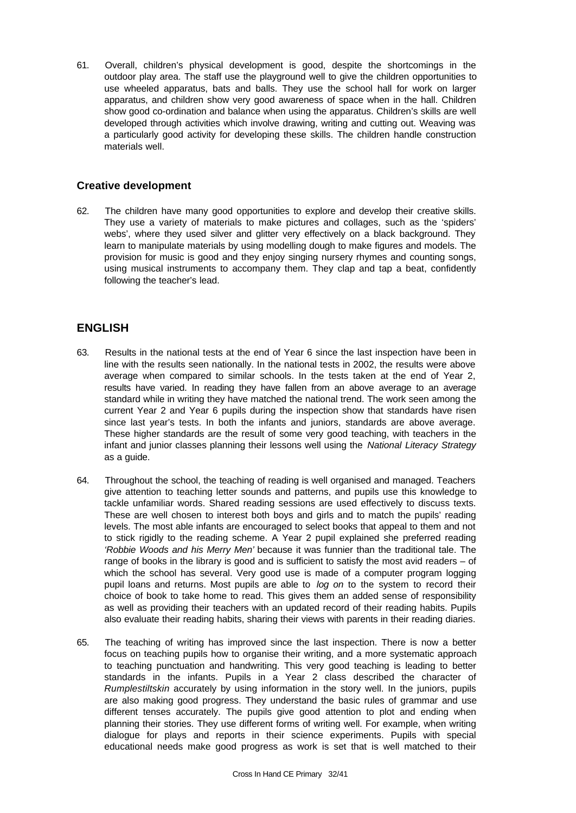61. Overall, children's physical development is good, despite the shortcomings in the outdoor play area. The staff use the playground well to give the children opportunities to use wheeled apparatus, bats and balls. They use the school hall for work on larger apparatus, and children show very good awareness of space when in the hall. Children show good co-ordination and balance when using the apparatus. Children's skills are well developed through activities which involve drawing, writing and cutting out. Weaving was a particularly good activity for developing these skills. The children handle construction materials well.

### **Creative development**

62. The children have many good opportunities to explore and develop their creative skills. They use a variety of materials to make pictures and collages, such as the 'spiders' webs', where they used silver and glitter very effectively on a black background. They learn to manipulate materials by using modelling dough to make figures and models. The provision for music is good and they enjoy singing nursery rhymes and counting songs, using musical instruments to accompany them. They clap and tap a beat, confidently following the teacher's lead.

## **ENGLISH**

- 63. Results in the national tests at the end of Year 6 since the last inspection have been in line with the results seen nationally. In the national tests in 2002, the results were above average when compared to similar schools. In the tests taken at the end of Year 2, results have varied. In reading they have fallen from an above average to an average standard while in writing they have matched the national trend. The work seen among the current Year 2 and Year 6 pupils during the inspection show that standards have risen since last year's tests. In both the infants and juniors, standards are above average. These higher standards are the result of some very good teaching, with teachers in the infant and junior classes planning their lessons well using the *National Literacy Strategy* as a guide.
- 64. Throughout the school, the teaching of reading is well organised and managed. Teachers give attention to teaching letter sounds and patterns, and pupils use this knowledge to tackle unfamiliar words. Shared reading sessions are used effectively to discuss texts. These are well chosen to interest both boys and girls and to match the pupils' reading levels. The most able infants are encouraged to select books that appeal to them and not to stick rigidly to the reading scheme. A Year 2 pupil explained she preferred reading *'Robbie Woods and his Merry Men'* because it was funnier than the traditional tale. The range of books in the library is good and is sufficient to satisfy the most avid readers – of which the school has several. Very good use is made of a computer program logging pupil loans and returns. Most pupils are able to *log on* to the system to record their choice of book to take home to read. This gives them an added sense of responsibility as well as providing their teachers with an updated record of their reading habits. Pupils also evaluate their reading habits, sharing their views with parents in their reading diaries.
- 65. The teaching of writing has improved since the last inspection. There is now a better focus on teaching pupils how to organise their writing, and a more systematic approach to teaching punctuation and handwriting. This very good teaching is leading to better standards in the infants. Pupils in a Year 2 class described the character of *Rumplestiltskin* accurately by using information in the story well. In the juniors, pupils are also making good progress. They understand the basic rules of grammar and use different tenses accurately. The pupils give good attention to plot and ending when planning their stories. They use different forms of writing well. For example, when writing dialogue for plays and reports in their science experiments. Pupils with special educational needs make good progress as work is set that is well matched to their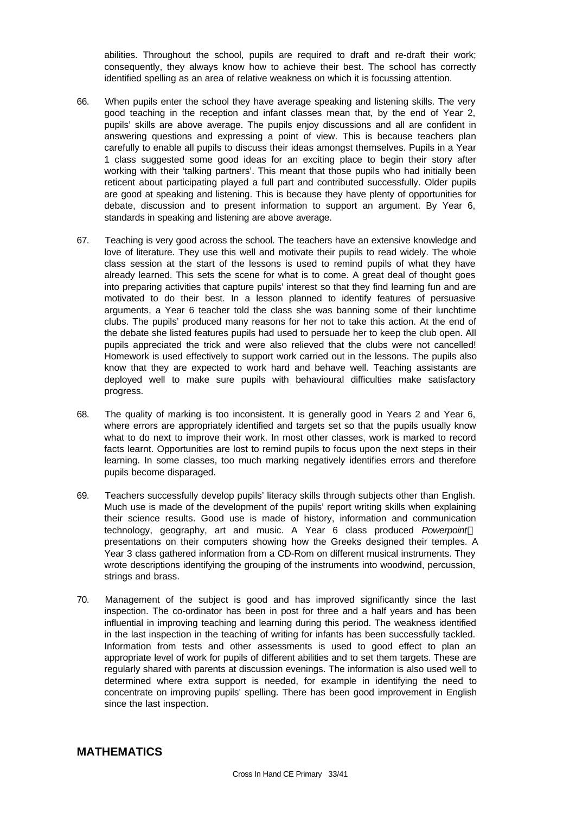abilities. Throughout the school, pupils are required to draft and re-draft their work; consequently, they always know how to achieve their best. The school has correctly identified spelling as an area of relative weakness on which it is focussing attention.

- 66. When pupils enter the school they have average speaking and listening skills. The very good teaching in the reception and infant classes mean that, by the end of Year 2, pupils' skills are above average. The pupils enjoy discussions and all are confident in answering questions and expressing a point of view. This is because teachers plan carefully to enable all pupils to discuss their ideas amongst themselves. Pupils in a Year 1 class suggested some good ideas for an exciting place to begin their story after working with their 'talking partners'. This meant that those pupils who had initially been reticent about participating played a full part and contributed successfully. Older pupils are good at speaking and listening. This is because they have plenty of opportunities for debate, discussion and to present information to support an argument. By Year 6, standards in speaking and listening are above average.
- 67. Teaching is very good across the school. The teachers have an extensive knowledge and love of literature. They use this well and motivate their pupils to read widely. The whole class session at the start of the lessons is used to remind pupils of what they have already learned. This sets the scene for what is to come. A great deal of thought goes into preparing activities that capture pupils' interest so that they find learning fun and are motivated to do their best. In a lesson planned to identify features of persuasive arguments, a Year 6 teacher told the class she was banning some of their lunchtime clubs. The pupils' produced many reasons for her not to take this action. At the end of the debate she listed features pupils had used to persuade her to keep the club open. All pupils appreciated the trick and were also relieved that the clubs were not cancelled! Homework is used effectively to support work carried out in the lessons. The pupils also know that they are expected to work hard and behave well. Teaching assistants are deployed well to make sure pupils with behavioural difficulties make satisfactory progress.
- 68. The quality of marking is too inconsistent. It is generally good in Years 2 and Year 6, where errors are appropriately identified and targets set so that the pupils usually know what to do next to improve their work. In most other classes, work is marked to record facts learnt. Opportunities are lost to remind pupils to focus upon the next steps in their learning. In some classes, too much marking negatively identifies errors and therefore pupils become disparaged.
- 69. Teachers successfully develop pupils' literacy skills through subjects other than English. Much use is made of the development of the pupils' report writing skills when explaining their science results. Good use is made of history, information and communication technology, geography, art and music. A Year 6 class produced *Powerpoint* presentations on their computers showing how the Greeks designed their temples. A Year 3 class gathered information from a CD-Rom on different musical instruments. They wrote descriptions identifying the grouping of the instruments into woodwind, percussion, strings and brass.
- 70. Management of the subject is good and has improved significantly since the last inspection. The co-ordinator has been in post for three and a half years and has been influential in improving teaching and learning during this period. The weakness identified in the last inspection in the teaching of writing for infants has been successfully tackled. Information from tests and other assessments is used to good effect to plan an appropriate level of work for pupils of different abilities and to set them targets. These are regularly shared with parents at discussion evenings. The information is also used well to determined where extra support is needed, for example in identifying the need to concentrate on improving pupils' spelling. There has been good improvement in English since the last inspection.

### **MATHEMATICS**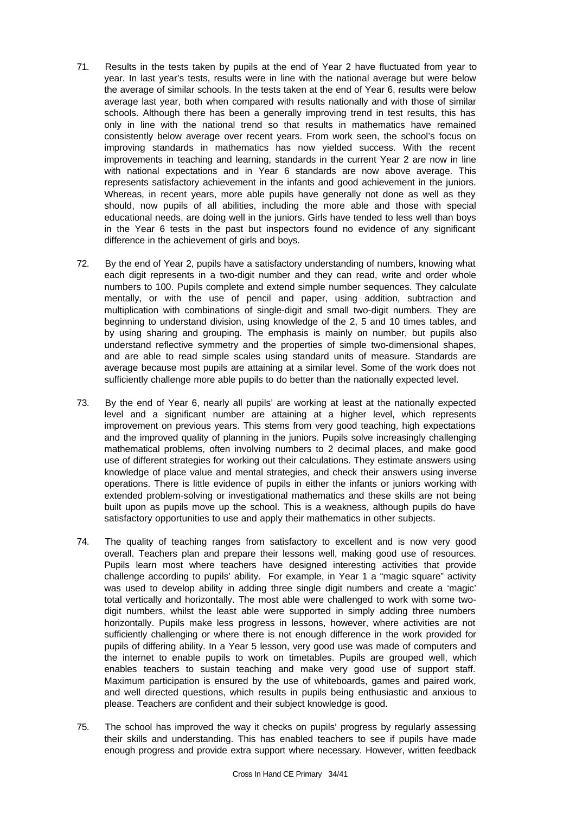- 71. Results in the tests taken by pupils at the end of Year 2 have fluctuated from year to year. In last year's tests, results were in line with the national average but were below the average of similar schools. In the tests taken at the end of Year 6, results were below average last year, both when compared with results nationally and with those of similar schools. Although there has been a generally improving trend in test results, this has only in line with the national trend so that results in mathematics have remained consistently below average over recent years. From work seen, the school's focus on improving standards in mathematics has now yielded success. With the recent improvements in teaching and learning, standards in the current Year 2 are now in line with national expectations and in Year 6 standards are now above average. This represents satisfactory achievement in the infants and good achievement in the juniors. Whereas, in recent years, more able pupils have generally not done as well as they should, now pupils of all abilities, including the more able and those with special educational needs, are doing well in the juniors. Girls have tended to less well than boys in the Year 6 tests in the past but inspectors found no evidence of any significant difference in the achievement of girls and boys.
- 72. By the end of Year 2, pupils have a satisfactory understanding of numbers, knowing what each digit represents in a two-digit number and they can read, write and order whole numbers to 100. Pupils complete and extend simple number sequences. They calculate mentally, or with the use of pencil and paper, using addition, subtraction and multiplication with combinations of single-digit and small two-digit numbers. They are beginning to understand division, using knowledge of the 2, 5 and 10 times tables, and by using sharing and grouping. The emphasis is mainly on number, but pupils also understand reflective symmetry and the properties of simple two-dimensional shapes, and are able to read simple scales using standard units of measure. Standards are average because most pupils are attaining at a similar level. Some of the work does not sufficiently challenge more able pupils to do better than the nationally expected level.
- 73. By the end of Year 6, nearly all pupils' are working at least at the nationally expected level and a significant number are attaining at a higher level, which represents improvement on previous years. This stems from very good teaching, high expectations and the improved quality of planning in the juniors. Pupils solve increasingly challenging mathematical problems, often involving numbers to 2 decimal places, and make good use of different strategies for working out their calculations. They estimate answers using knowledge of place value and mental strategies, and check their answers using inverse operations. There is little evidence of pupils in either the infants or juniors working with extended problem-solving or investigational mathematics and these skills are not being built upon as pupils move up the school. This is a weakness, although pupils do have satisfactory opportunities to use and apply their mathematics in other subjects.
- 74. The quality of teaching ranges from satisfactory to excellent and is now very good overall. Teachers plan and prepare their lessons well, making good use of resources. Pupils learn most where teachers have designed interesting activities that provide challenge according to pupils' ability. For example, in Year 1 a "magic square" activity was used to develop ability in adding three single digit numbers and create a 'magic' total vertically and horizontally. The most able were challenged to work with some twodigit numbers, whilst the least able were supported in simply adding three numbers horizontally. Pupils make less progress in lessons, however, where activities are not sufficiently challenging or where there is not enough difference in the work provided for pupils of differing ability. In a Year 5 lesson, very good use was made of computers and the internet to enable pupils to work on timetables. Pupils are grouped well, which enables teachers to sustain teaching and make very good use of support staff. Maximum participation is ensured by the use of whiteboards, games and paired work, and well directed questions, which results in pupils being enthusiastic and anxious to please. Teachers are confident and their subject knowledge is good.
- 75. The school has improved the way it checks on pupils' progress by regularly assessing their skills and understanding. This has enabled teachers to see if pupils have made enough progress and provide extra support where necessary. However, written feedback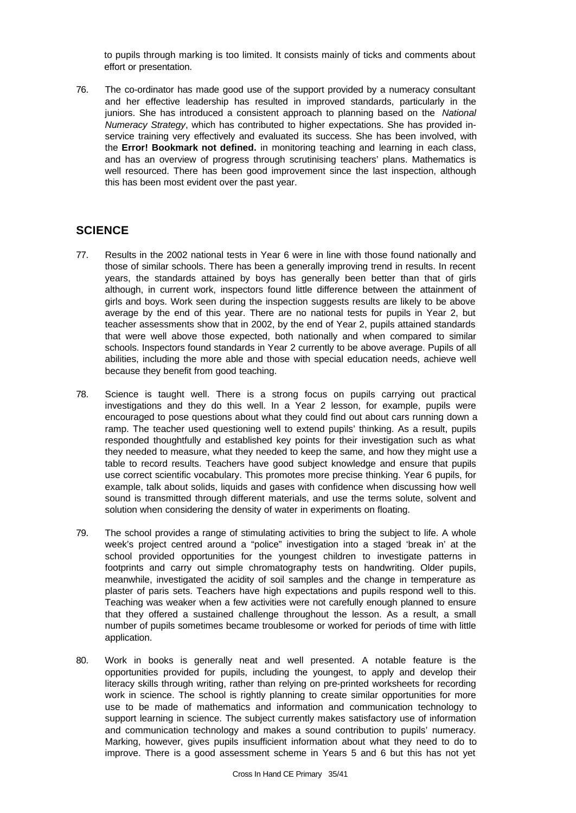to pupils through marking is too limited. It consists mainly of ticks and comments about effort or presentation.

76. The co-ordinator has made good use of the support provided by a numeracy consultant and her effective leadership has resulted in improved standards, particularly in the juniors. She has introduced a consistent approach to planning based on the *National Numeracy Strategy*, which has contributed to higher expectations. She has provided inservice training very effectively and evaluated its success. She has been involved, with the **Error! Bookmark not defined.** in monitoring teaching and learning in each class, and has an overview of progress through scrutinising teachers' plans. Mathematics is well resourced. There has been good improvement since the last inspection, although this has been most evident over the past year.

## **SCIENCE**

- 77. Results in the 2002 national tests in Year 6 were in line with those found nationally and those of similar schools. There has been a generally improving trend in results. In recent years, the standards attained by boys has generally been better than that of girls although, in current work, inspectors found little difference between the attainment of girls and boys. Work seen during the inspection suggests results are likely to be above average by the end of this year. There are no national tests for pupils in Year 2, but teacher assessments show that in 2002, by the end of Year 2, pupils attained standards that were well above those expected, both nationally and when compared to similar schools. Inspectors found standards in Year 2 currently to be above average. Pupils of all abilities, including the more able and those with special education needs, achieve well because they benefit from good teaching.
- 78. Science is taught well. There is a strong focus on pupils carrying out practical investigations and they do this well. In a Year 2 lesson, for example, pupils were encouraged to pose questions about what they could find out about cars running down a ramp. The teacher used questioning well to extend pupils' thinking. As a result, pupils responded thoughtfully and established key points for their investigation such as what they needed to measure, what they needed to keep the same, and how they might use a table to record results. Teachers have good subject knowledge and ensure that pupils use correct scientific vocabulary. This promotes more precise thinking. Year 6 pupils, for example, talk about solids, liquids and gases with confidence when discussing how well sound is transmitted through different materials, and use the terms solute, solvent and solution when considering the density of water in experiments on floating.
- 79. The school provides a range of stimulating activities to bring the subject to life. A whole week's project centred around a "police" investigation into a staged 'break in' at the school provided opportunities for the youngest children to investigate patterns in footprints and carry out simple chromatography tests on handwriting. Older pupils, meanwhile, investigated the acidity of soil samples and the change in temperature as plaster of paris sets. Teachers have high expectations and pupils respond well to this. Teaching was weaker when a few activities were not carefully enough planned to ensure that they offered a sustained challenge throughout the lesson. As a result, a small number of pupils sometimes became troublesome or worked for periods of time with little application.
- 80. Work in books is generally neat and well presented. A notable feature is the opportunities provided for pupils, including the youngest, to apply and develop their literacy skills through writing, rather than relying on pre-printed worksheets for recording work in science. The school is rightly planning to create similar opportunities for more use to be made of mathematics and information and communication technology to support learning in science. The subject currently makes satisfactory use of information and communication technology and makes a sound contribution to pupils' numeracy. Marking, however, gives pupils insufficient information about what they need to do to improve. There is a good assessment scheme in Years 5 and 6 but this has not yet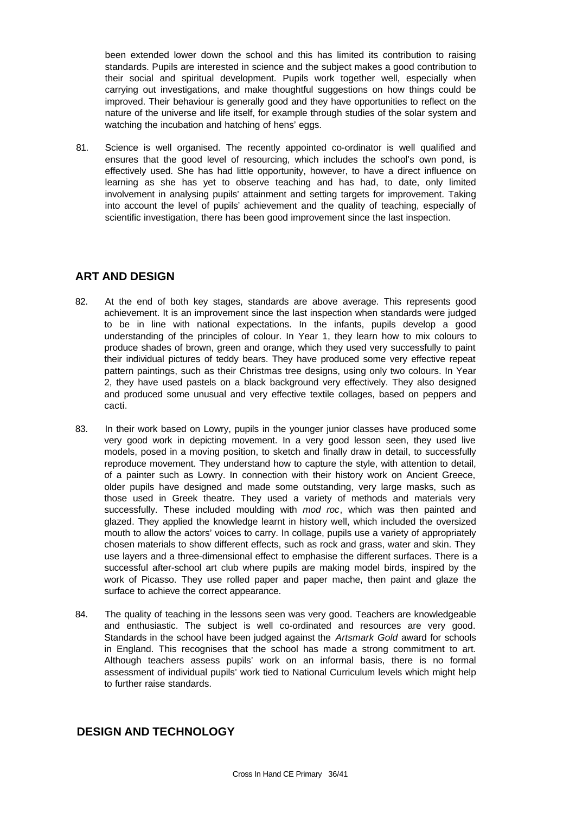been extended lower down the school and this has limited its contribution to raising standards. Pupils are interested in science and the subject makes a good contribution to their social and spiritual development. Pupils work together well, especially when carrying out investigations, and make thoughtful suggestions on how things could be improved. Their behaviour is generally good and they have opportunities to reflect on the nature of the universe and life itself, for example through studies of the solar system and watching the incubation and hatching of hens' eggs.

81. Science is well organised. The recently appointed co-ordinator is well qualified and ensures that the good level of resourcing, which includes the school's own pond, is effectively used. She has had little opportunity, however, to have a direct influence on learning as she has yet to observe teaching and has had, to date, only limited involvement in analysing pupils' attainment and setting targets for improvement. Taking into account the level of pupils' achievement and the quality of teaching, especially of scientific investigation, there has been good improvement since the last inspection.

## **ART AND DESIGN**

- 82. At the end of both key stages, standards are above average. This represents good achievement. It is an improvement since the last inspection when standards were judged to be in line with national expectations. In the infants, pupils develop a good understanding of the principles of colour. In Year 1, they learn how to mix colours to produce shades of brown, green and orange, which they used very successfully to paint their individual pictures of teddy bears. They have produced some very effective repeat pattern paintings, such as their Christmas tree designs, using only two colours. In Year 2, they have used pastels on a black background very effectively. They also designed and produced some unusual and very effective textile collages, based on peppers and cacti.
- 83. In their work based on Lowry, pupils in the younger junior classes have produced some very good work in depicting movement. In a very good lesson seen, they used live models, posed in a moving position, to sketch and finally draw in detail, to successfully reproduce movement. They understand how to capture the style, with attention to detail, of a painter such as Lowry. In connection with their history work on Ancient Greece, older pupils have designed and made some outstanding, very large masks, such as those used in Greek theatre. They used a variety of methods and materials very successfully. These included moulding with *mod roc*, which was then painted and glazed. They applied the knowledge learnt in history well, which included the oversized mouth to allow the actors' voices to carry. In collage, pupils use a variety of appropriately chosen materials to show different effects, such as rock and grass, water and skin. They use layers and a three-dimensional effect to emphasise the different surfaces. There is a successful after-school art club where pupils are making model birds, inspired by the work of Picasso. They use rolled paper and paper mache, then paint and glaze the surface to achieve the correct appearance.
- 84. The quality of teaching in the lessons seen was very good. Teachers are knowledgeable and enthusiastic. The subject is well co-ordinated and resources are very good. Standards in the school have been judged against the *Artsmark Gold* award for schools in England. This recognises that the school has made a strong commitment to art. Although teachers assess pupils' work on an informal basis, there is no formal assessment of individual pupils' work tied to National Curriculum levels which might help to further raise standards.

### **DESIGN AND TECHNOLOGY**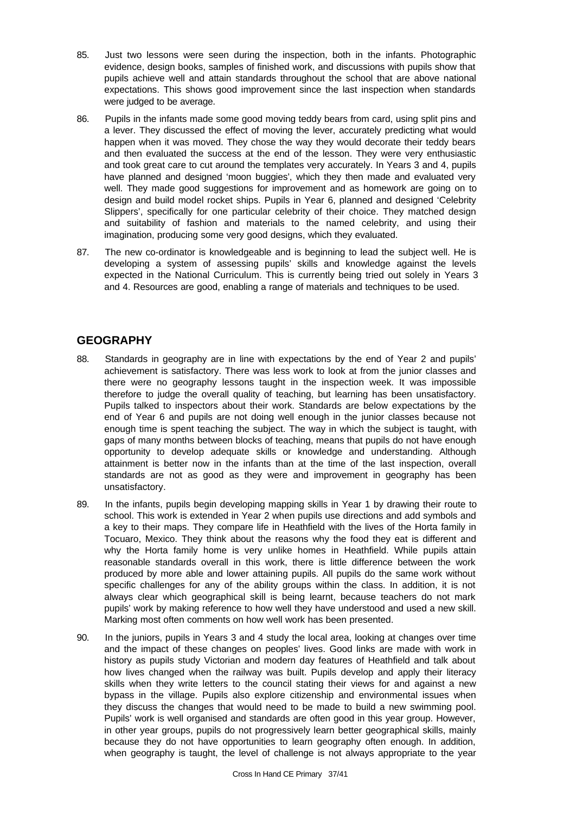- 85. Just two lessons were seen during the inspection, both in the infants. Photographic evidence, design books, samples of finished work, and discussions with pupils show that pupils achieve well and attain standards throughout the school that are above national expectations. This shows good improvement since the last inspection when standards were judged to be average.
- 86. Pupils in the infants made some good moving teddy bears from card, using split pins and a lever. They discussed the effect of moving the lever, accurately predicting what would happen when it was moved. They chose the way they would decorate their teddy bears and then evaluated the success at the end of the lesson. They were very enthusiastic and took great care to cut around the templates very accurately. In Years 3 and 4, pupils have planned and designed 'moon buggies', which they then made and evaluated very well. They made good suggestions for improvement and as homework are going on to design and build model rocket ships. Pupils in Year 6, planned and designed 'Celebrity Slippers', specifically for one particular celebrity of their choice. They matched design and suitability of fashion and materials to the named celebrity, and using their imagination, producing some very good designs, which they evaluated.
- 87. The new co-ordinator is knowledgeable and is beginning to lead the subject well. He is developing a system of assessing pupils' skills and knowledge against the levels expected in the National Curriculum. This is currently being tried out solely in Years 3 and 4. Resources are good, enabling a range of materials and techniques to be used.

## **GEOGRAPHY**

- 88. Standards in geography are in line with expectations by the end of Year 2 and pupils' achievement is satisfactory. There was less work to look at from the junior classes and there were no geography lessons taught in the inspection week. It was impossible therefore to judge the overall quality of teaching, but learning has been unsatisfactory. Pupils talked to inspectors about their work. Standards are below expectations by the end of Year 6 and pupils are not doing well enough in the junior classes because not enough time is spent teaching the subject. The way in which the subject is taught, with gaps of many months between blocks of teaching, means that pupils do not have enough opportunity to develop adequate skills or knowledge and understanding. Although attainment is better now in the infants than at the time of the last inspection, overall standards are not as good as they were and improvement in geography has been unsatisfactory.
- 89. In the infants, pupils begin developing mapping skills in Year 1 by drawing their route to school. This work is extended in Year 2 when pupils use directions and add symbols and a key to their maps. They compare life in Heathfield with the lives of the Horta family in Tocuaro, Mexico. They think about the reasons why the food they eat is different and why the Horta family home is very unlike homes in Heathfield. While pupils attain reasonable standards overall in this work, there is little difference between the work produced by more able and lower attaining pupils. All pupils do the same work without specific challenges for any of the ability groups within the class. In addition, it is not always clear which geographical skill is being learnt, because teachers do not mark pupils' work by making reference to how well they have understood and used a new skill. Marking most often comments on how well work has been presented.
- 90. In the juniors, pupils in Years 3 and 4 study the local area, looking at changes over time and the impact of these changes on peoples' lives. Good links are made with work in history as pupils study Victorian and modern day features of Heathfield and talk about how lives changed when the railway was built. Pupils develop and apply their literacy skills when they write letters to the council stating their views for and against a new bypass in the village. Pupils also explore citizenship and environmental issues when they discuss the changes that would need to be made to build a new swimming pool. Pupils' work is well organised and standards are often good in this year group. However, in other year groups, pupils do not progressively learn better geographical skills, mainly because they do not have opportunities to learn geography often enough. In addition, when geography is taught, the level of challenge is not always appropriate to the year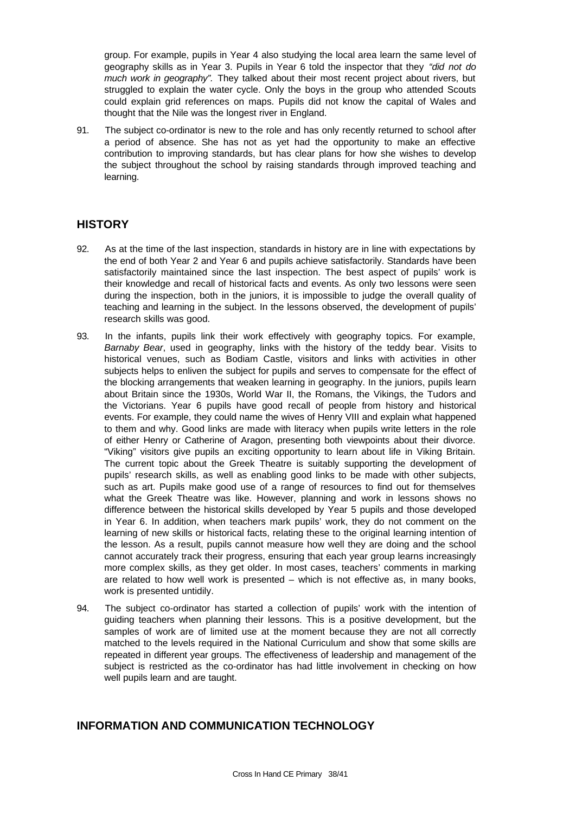group. For example, pupils in Year 4 also studying the local area learn the same level of geography skills as in Year 3. Pupils in Year 6 told the inspector that they *"did not do much work in geography".* They talked about their most recent project about rivers, but struggled to explain the water cycle. Only the boys in the group who attended Scouts could explain grid references on maps. Pupils did not know the capital of Wales and thought that the Nile was the longest river in England.

91. The subject co-ordinator is new to the role and has only recently returned to school after a period of absence. She has not as yet had the opportunity to make an effective contribution to improving standards, but has clear plans for how she wishes to develop the subject throughout the school by raising standards through improved teaching and learning.

### **HISTORY**

- 92. As at the time of the last inspection, standards in history are in line with expectations by the end of both Year 2 and Year 6 and pupils achieve satisfactorily. Standards have been satisfactorily maintained since the last inspection. The best aspect of pupils' work is their knowledge and recall of historical facts and events. As only two lessons were seen during the inspection, both in the juniors, it is impossible to judge the overall quality of teaching and learning in the subject. In the lessons observed, the development of pupils' research skills was good.
- 93. In the infants, pupils link their work effectively with geography topics. For example, *Barnaby Bear*, used in geography, links with the history of the teddy bear. Visits to historical venues, such as Bodiam Castle, visitors and links with activities in other subjects helps to enliven the subject for pupils and serves to compensate for the effect of the blocking arrangements that weaken learning in geography. In the juniors, pupils learn about Britain since the 1930s, World War II, the Romans, the Vikings, the Tudors and the Victorians. Year 6 pupils have good recall of people from history and historical events. For example, they could name the wives of Henry VIII and explain what happened to them and why. Good links are made with literacy when pupils write letters in the role of either Henry or Catherine of Aragon, presenting both viewpoints about their divorce. "Viking" visitors give pupils an exciting opportunity to learn about life in Viking Britain. The current topic about the Greek Theatre is suitably supporting the development of pupils' research skills, as well as enabling good links to be made with other subjects, such as art. Pupils make good use of a range of resources to find out for themselves what the Greek Theatre was like. However, planning and work in lessons shows no difference between the historical skills developed by Year 5 pupils and those developed in Year 6. In addition, when teachers mark pupils' work, they do not comment on the learning of new skills or historical facts, relating these to the original learning intention of the lesson. As a result, pupils cannot measure how well they are doing and the school cannot accurately track their progress, ensuring that each year group learns increasingly more complex skills, as they get older. In most cases, teachers' comments in marking are related to how well work is presented – which is not effective as, in many books, work is presented untidily.
- 94. The subject co-ordinator has started a collection of pupils' work with the intention of guiding teachers when planning their lessons. This is a positive development, but the samples of work are of limited use at the moment because they are not all correctly matched to the levels required in the National Curriculum and show that some skills are repeated in different year groups. The effectiveness of leadership and management of the subject is restricted as the co-ordinator has had little involvement in checking on how well pupils learn and are taught.

## **INFORMATION AND COMMUNICATION TECHNOLOGY**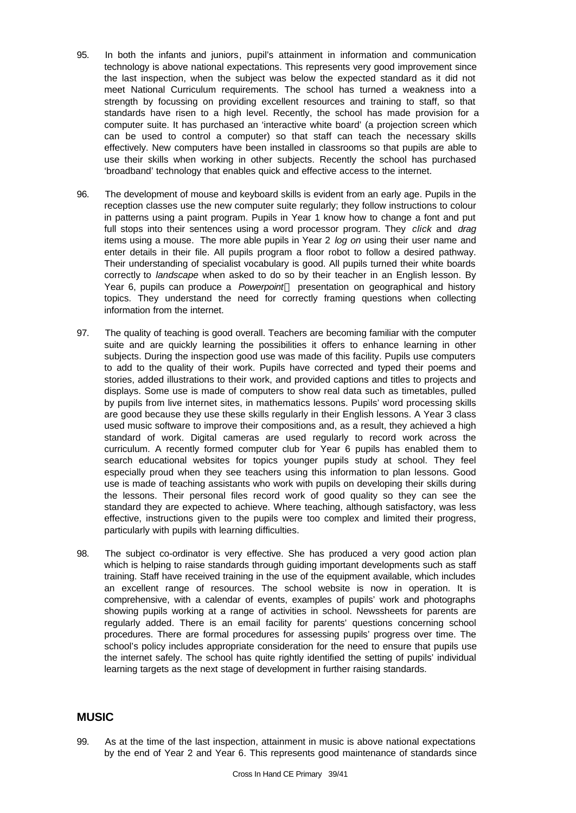- 95. In both the infants and juniors, pupil's attainment in information and communication technology is above national expectations. This represents very good improvement since the last inspection, when the subject was below the expected standard as it did not meet National Curriculum requirements. The school has turned a weakness into a strength by focussing on providing excellent resources and training to staff, so that standards have risen to a high level. Recently, the school has made provision for a computer suite. It has purchased an 'interactive white board' (a projection screen which can be used to control a computer) so that staff can teach the necessary skills effectively. New computers have been installed in classrooms so that pupils are able to use their skills when working in other subjects. Recently the school has purchased 'broadband' technology that enables quick and effective access to the internet.
- 96. The development of mouse and keyboard skills is evident from an early age. Pupils in the reception classes use the new computer suite regularly; they follow instructions to colour in patterns using a paint program. Pupils in Year 1 know how to change a font and put full stops into their sentences using a word processor program. They *click* and *drag* items using a mouse. The more able pupils in Year 2 *log on* using their user name and enter details in their file. All pupils program a floor robot to follow a desired pathway. Their understanding of specialist vocabulary is good. All pupils turned their white boards correctly to *landscape* when asked to do so by their teacher in an English lesson. By Year 6, pupils can produce a *Powerpoint*<sup>™</sup> presentation on geographical and history topics. They understand the need for correctly framing questions when collecting information from the internet.
- 97. The quality of teaching is good overall. Teachers are becoming familiar with the computer suite and are quickly learning the possibilities it offers to enhance learning in other subjects. During the inspection good use was made of this facility. Pupils use computers to add to the quality of their work. Pupils have corrected and typed their poems and stories, added illustrations to their work, and provided captions and titles to projects and displays. Some use is made of computers to show real data such as timetables, pulled by pupils from live internet sites, in mathematics lessons. Pupils' word processing skills are good because they use these skills regularly in their English lessons. A Year 3 class used music software to improve their compositions and, as a result, they achieved a high standard of work. Digital cameras are used regularly to record work across the curriculum. A recently formed computer club for Year 6 pupils has enabled them to search educational websites for topics younger pupils study at school. They feel especially proud when they see teachers using this information to plan lessons. Good use is made of teaching assistants who work with pupils on developing their skills during the lessons. Their personal files record work of good quality so they can see the standard they are expected to achieve. Where teaching, although satisfactory, was less effective, instructions given to the pupils were too complex and limited their progress, particularly with pupils with learning difficulties.
- 98. The subject co-ordinator is very effective. She has produced a very good action plan which is helping to raise standards through guiding important developments such as staff training. Staff have received training in the use of the equipment available, which includes an excellent range of resources. The school website is now in operation. It is comprehensive, with a calendar of events, examples of pupils' work and photographs showing pupils working at a range of activities in school. Newssheets for parents are regularly added. There is an email facility for parents' questions concerning school procedures. There are formal procedures for assessing pupils' progress over time. The school's policy includes appropriate consideration for the need to ensure that pupils use the internet safely. The school has quite rightly identified the setting of pupils' individual learning targets as the next stage of development in further raising standards.

### **MUSIC**

99. As at the time of the last inspection, attainment in music is above national expectations by the end of Year 2 and Year 6. This represents good maintenance of standards since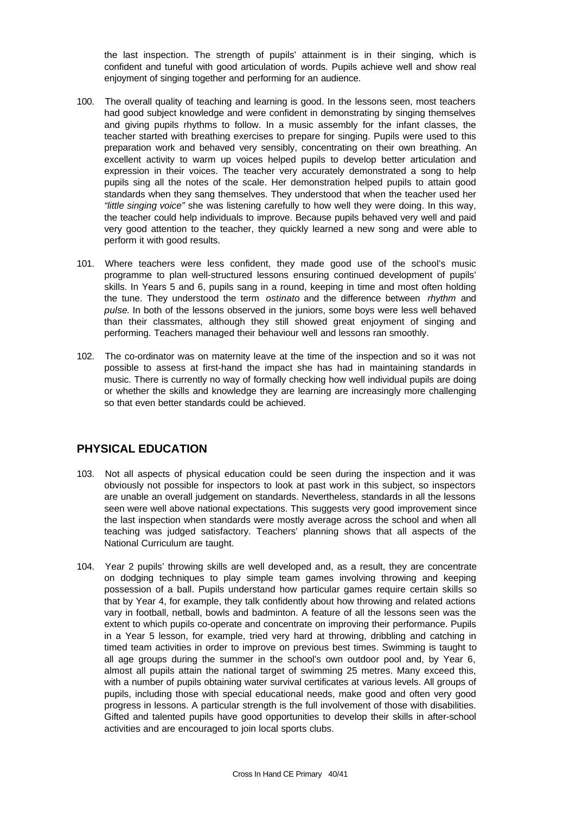the last inspection. The strength of pupils' attainment is in their singing, which is confident and tuneful with good articulation of words. Pupils achieve well and show real enjoyment of singing together and performing for an audience.

- 100. The overall quality of teaching and learning is good. In the lessons seen, most teachers had good subject knowledge and were confident in demonstrating by singing themselves and giving pupils rhythms to follow. In a music assembly for the infant classes, the teacher started with breathing exercises to prepare for singing. Pupils were used to this preparation work and behaved very sensibly, concentrating on their own breathing. An excellent activity to warm up voices helped pupils to develop better articulation and expression in their voices. The teacher very accurately demonstrated a song to help pupils sing all the notes of the scale. Her demonstration helped pupils to attain good standards when they sang themselves. They understood that when the teacher used her *"little singing voice"* she was listening carefully to how well they were doing. In this way, the teacher could help individuals to improve. Because pupils behaved very well and paid very good attention to the teacher, they quickly learned a new song and were able to perform it with good results.
- 101. Where teachers were less confident, they made good use of the school's music programme to plan well-structured lessons ensuring continued development of pupils' skills. In Years 5 and 6, pupils sang in a round, keeping in time and most often holding the tune. They understood the term *ostinato* and the difference between *rhythm* and *pulse*. In both of the lessons observed in the juniors, some boys were less well behaved than their classmates, although they still showed great enjoyment of singing and performing. Teachers managed their behaviour well and lessons ran smoothly.
- 102. The co-ordinator was on maternity leave at the time of the inspection and so it was not possible to assess at first-hand the impact she has had in maintaining standards in music. There is currently no way of formally checking how well individual pupils are doing or whether the skills and knowledge they are learning are increasingly more challenging so that even better standards could be achieved.

## **PHYSICAL EDUCATION**

- 103. Not all aspects of physical education could be seen during the inspection and it was obviously not possible for inspectors to look at past work in this subject, so inspectors are unable an overall judgement on standards. Nevertheless, standards in all the lessons seen were well above national expectations. This suggests very good improvement since the last inspection when standards were mostly average across the school and when all teaching was judged satisfactory. Teachers' planning shows that all aspects of the National Curriculum are taught.
- 104. Year 2 pupils' throwing skills are well developed and, as a result, they are concentrate on dodging techniques to play simple team games involving throwing and keeping possession of a ball. Pupils understand how particular games require certain skills so that by Year 4, for example, they talk confidently about how throwing and related actions vary in football, netball, bowls and badminton. A feature of all the lessons seen was the extent to which pupils co-operate and concentrate on improving their performance. Pupils in a Year 5 lesson, for example, tried very hard at throwing, dribbling and catching in timed team activities in order to improve on previous best times. Swimming is taught to all age groups during the summer in the school's own outdoor pool and, by Year 6, almost all pupils attain the national target of swimming 25 metres. Many exceed this, with a number of pupils obtaining water survival certificates at various levels. All groups of pupils, including those with special educational needs, make good and often very good progress in lessons. A particular strength is the full involvement of those with disabilities. Gifted and talented pupils have good opportunities to develop their skills in after-school activities and are encouraged to join local sports clubs.